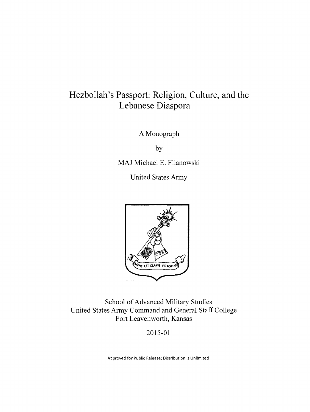# **Hezbollah's Passport: Religion, Culture, and the Lebanese Diaspora**

A Monograph

by

MAJ Michael E. Filanowski

United States Army



School of Advanced Military Studies United States Army Command and General Staff College Fort Leavenworth, Kansas

2015-01

Approved for Public Release; Distribution is Unlimited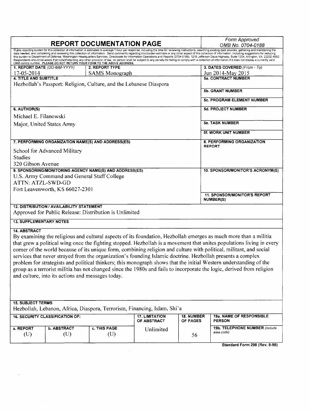| <b>REPORT DOCUMENTATION PAGE</b>                                                                                                                                                                                      |                                             |                                                                          |                       |            | Form Approved                                                                                                                                                                                                                                                                                                                                                                                                                                                                                                                                                                                                                                             |  |
|-----------------------------------------------------------------------------------------------------------------------------------------------------------------------------------------------------------------------|---------------------------------------------|--------------------------------------------------------------------------|-----------------------|------------|-----------------------------------------------------------------------------------------------------------------------------------------------------------------------------------------------------------------------------------------------------------------------------------------------------------------------------------------------------------------------------------------------------------------------------------------------------------------------------------------------------------------------------------------------------------------------------------------------------------------------------------------------------------|--|
| Public reporting burden for this collection of information is estimated to average 1 hour per response, including the time for reviewing instructions, searching existing data sources, gathering and maintaining the |                                             |                                                                          |                       |            | OMB No. 0704-0188                                                                                                                                                                                                                                                                                                                                                                                                                                                                                                                                                                                                                                         |  |
|                                                                                                                                                                                                                       |                                             | OMB control number. PLEASE DO NOT RETURN YOUR FORM TO THE ABOVE ADDRESS. |                       |            | data needed, and completing and reviewing this collection of information. Send comments regarding this burden estimate or any other aspect of this collection of information, including suggestions for reducing<br>this burden to Department of Defense, Washington Headquarters Services, Directorate for Information Operations and Reports (0704-0188), 1215 Jefferson Davis Highway, Suite 1204, Arlington, VA 22202-4302.<br>Respondents should be aware that notwithstanding any other provision of law, no person shall be subject to any penalty for failing to comply with a collection of information if it does not display a currently valid |  |
|                                                                                                                                                                                                                       | 1. REPORT DATE (DD-MM-YYYY)                 | 2. REPORT TYPE                                                           |                       |            | 3. DATES COVERED (From - To)                                                                                                                                                                                                                                                                                                                                                                                                                                                                                                                                                                                                                              |  |
| 17-05-2014                                                                                                                                                                                                            |                                             | <b>SAMS</b> Monograph                                                    |                       |            | Jun 2014-May 2015                                                                                                                                                                                                                                                                                                                                                                                                                                                                                                                                                                                                                                         |  |
| <b>4. TITLE AND SUBTITLE</b>                                                                                                                                                                                          |                                             |                                                                          |                       |            | <b>5a. CONTRACT NUMBER</b>                                                                                                                                                                                                                                                                                                                                                                                                                                                                                                                                                                                                                                |  |
|                                                                                                                                                                                                                       |                                             | Hezbollah's Passport: Religion, Culture, and the Lebanese Diaspora       |                       |            |                                                                                                                                                                                                                                                                                                                                                                                                                                                                                                                                                                                                                                                           |  |
|                                                                                                                                                                                                                       |                                             |                                                                          |                       |            | <b>5b. GRANT NUMBER</b>                                                                                                                                                                                                                                                                                                                                                                                                                                                                                                                                                                                                                                   |  |
|                                                                                                                                                                                                                       |                                             |                                                                          |                       |            | 5c. PROGRAM ELEMENT NUMBER                                                                                                                                                                                                                                                                                                                                                                                                                                                                                                                                                                                                                                |  |
| 6. AUTHOR(S)                                                                                                                                                                                                          |                                             |                                                                          |                       |            | <b>5d. PROJECT NUMBER</b>                                                                                                                                                                                                                                                                                                                                                                                                                                                                                                                                                                                                                                 |  |
| Michael E. Filanowski                                                                                                                                                                                                 |                                             |                                                                          |                       |            |                                                                                                                                                                                                                                                                                                                                                                                                                                                                                                                                                                                                                                                           |  |
|                                                                                                                                                                                                                       | Major, United States Army                   |                                                                          |                       |            | <b>5e. TASK NUMBER</b>                                                                                                                                                                                                                                                                                                                                                                                                                                                                                                                                                                                                                                    |  |
|                                                                                                                                                                                                                       |                                             |                                                                          |                       |            |                                                                                                                                                                                                                                                                                                                                                                                                                                                                                                                                                                                                                                                           |  |
|                                                                                                                                                                                                                       |                                             |                                                                          |                       |            | 5f. WORK UNIT NUMBER                                                                                                                                                                                                                                                                                                                                                                                                                                                                                                                                                                                                                                      |  |
|                                                                                                                                                                                                                       |                                             | 7. PERFORMING ORGANIZATION NAME(S) AND ADDRESS(ES)                       |                       |            | 8. PERFORMING ORGANIZATION                                                                                                                                                                                                                                                                                                                                                                                                                                                                                                                                                                                                                                |  |
| School for Advanced Military                                                                                                                                                                                          |                                             |                                                                          |                       |            | <b>REPORT</b>                                                                                                                                                                                                                                                                                                                                                                                                                                                                                                                                                                                                                                             |  |
| <b>Studies</b>                                                                                                                                                                                                        |                                             |                                                                          |                       |            |                                                                                                                                                                                                                                                                                                                                                                                                                                                                                                                                                                                                                                                           |  |
| 320 Gibson Avenue                                                                                                                                                                                                     |                                             |                                                                          |                       |            |                                                                                                                                                                                                                                                                                                                                                                                                                                                                                                                                                                                                                                                           |  |
|                                                                                                                                                                                                                       |                                             | 9. SPONSORING/MONITORING AGENCY NAME(S) AND ADDRESS(ES)                  |                       |            | 10. SPONSOR/MONITOR'S ACRONYM(S)                                                                                                                                                                                                                                                                                                                                                                                                                                                                                                                                                                                                                          |  |
|                                                                                                                                                                                                                       | U.S. Army Command and General Staff College |                                                                          |                       |            |                                                                                                                                                                                                                                                                                                                                                                                                                                                                                                                                                                                                                                                           |  |
| <b>ATTN: ATZL-SWD-GD</b>                                                                                                                                                                                              |                                             |                                                                          |                       |            |                                                                                                                                                                                                                                                                                                                                                                                                                                                                                                                                                                                                                                                           |  |
|                                                                                                                                                                                                                       | Fort Leavenworth, KS 66027-2301             |                                                                          |                       |            |                                                                                                                                                                                                                                                                                                                                                                                                                                                                                                                                                                                                                                                           |  |
|                                                                                                                                                                                                                       |                                             |                                                                          |                       |            | <b>11. SPONSOR/MONITOR'S REPORT</b><br><b>NUMBER(S)</b>                                                                                                                                                                                                                                                                                                                                                                                                                                                                                                                                                                                                   |  |
|                                                                                                                                                                                                                       | 12. DISTRIBUTION / AVAILABILITY STATEMENT   |                                                                          |                       |            |                                                                                                                                                                                                                                                                                                                                                                                                                                                                                                                                                                                                                                                           |  |
|                                                                                                                                                                                                                       |                                             | Approved for Public Release: Distribution is Unlimited                   |                       |            |                                                                                                                                                                                                                                                                                                                                                                                                                                                                                                                                                                                                                                                           |  |
|                                                                                                                                                                                                                       |                                             |                                                                          |                       |            |                                                                                                                                                                                                                                                                                                                                                                                                                                                                                                                                                                                                                                                           |  |
| <b>13. SUPPLEMENTARY NOTES</b>                                                                                                                                                                                        |                                             |                                                                          |                       |            |                                                                                                                                                                                                                                                                                                                                                                                                                                                                                                                                                                                                                                                           |  |
| <b>14. ABSTRACT</b>                                                                                                                                                                                                   |                                             |                                                                          |                       |            |                                                                                                                                                                                                                                                                                                                                                                                                                                                                                                                                                                                                                                                           |  |
| By examining the religious and cultural aspects of its foundation, Hezbollah emerges as much more than a militia                                                                                                      |                                             |                                                                          |                       |            |                                                                                                                                                                                                                                                                                                                                                                                                                                                                                                                                                                                                                                                           |  |
| that grew a political wing once the fighting stopped. Hezbollah is a movement that unites populations living in every                                                                                                 |                                             |                                                                          |                       |            |                                                                                                                                                                                                                                                                                                                                                                                                                                                                                                                                                                                                                                                           |  |
| corner of the world because of its unique form, combining religion and culture with political, militant, and social                                                                                                   |                                             |                                                                          |                       |            |                                                                                                                                                                                                                                                                                                                                                                                                                                                                                                                                                                                                                                                           |  |
| services that never strayed from the organization's founding Islamic doctrine. Hezbollah presents a complex                                                                                                           |                                             |                                                                          |                       |            |                                                                                                                                                                                                                                                                                                                                                                                                                                                                                                                                                                                                                                                           |  |
| problem for strategists and political thinkers; this monograph shows that the initial Western understanding of the                                                                                                    |                                             |                                                                          |                       |            |                                                                                                                                                                                                                                                                                                                                                                                                                                                                                                                                                                                                                                                           |  |
| group as a terrorist militia has not changed since the 1980s and fails to incorporate the logic, derived from religion                                                                                                |                                             |                                                                          |                       |            |                                                                                                                                                                                                                                                                                                                                                                                                                                                                                                                                                                                                                                                           |  |
| and culture, into its actions and messages today.                                                                                                                                                                     |                                             |                                                                          |                       |            |                                                                                                                                                                                                                                                                                                                                                                                                                                                                                                                                                                                                                                                           |  |
|                                                                                                                                                                                                                       |                                             |                                                                          |                       |            |                                                                                                                                                                                                                                                                                                                                                                                                                                                                                                                                                                                                                                                           |  |
|                                                                                                                                                                                                                       |                                             |                                                                          |                       |            |                                                                                                                                                                                                                                                                                                                                                                                                                                                                                                                                                                                                                                                           |  |
|                                                                                                                                                                                                                       |                                             |                                                                          |                       |            |                                                                                                                                                                                                                                                                                                                                                                                                                                                                                                                                                                                                                                                           |  |
| <b>15. SUBJECT TERMS</b>                                                                                                                                                                                              |                                             |                                                                          |                       |            |                                                                                                                                                                                                                                                                                                                                                                                                                                                                                                                                                                                                                                                           |  |
|                                                                                                                                                                                                                       |                                             | Hezbollah, Lebanon, Africa, Diaspora, Terrorism, Financing, Islam, Shi'a |                       |            |                                                                                                                                                                                                                                                                                                                                                                                                                                                                                                                                                                                                                                                           |  |
|                                                                                                                                                                                                                       | <b>16. SECURITY CLASSIFICATION OF:</b>      |                                                                          | <b>17. LIMITATION</b> | 18. NUMBER | 19a. NAME OF RESPONSIBLE                                                                                                                                                                                                                                                                                                                                                                                                                                                                                                                                                                                                                                  |  |
|                                                                                                                                                                                                                       |                                             |                                                                          | OF ABSTRACT           | OF PAGES   | <b>PERSON</b>                                                                                                                                                                                                                                                                                                                                                                                                                                                                                                                                                                                                                                             |  |
| a. REPORT                                                                                                                                                                                                             | <b>b. ABSTRACT</b>                          | c. THIS PAGE                                                             | Unlimited             |            | 19b. TELEPHONE NUMBER (include                                                                                                                                                                                                                                                                                                                                                                                                                                                                                                                                                                                                                            |  |
| (U)                                                                                                                                                                                                                   | (U)                                         | (U)                                                                      |                       | 56         | area code)                                                                                                                                                                                                                                                                                                                                                                                                                                                                                                                                                                                                                                                |  |
|                                                                                                                                                                                                                       |                                             |                                                                          |                       |            |                                                                                                                                                                                                                                                                                                                                                                                                                                                                                                                                                                                                                                                           |  |
|                                                                                                                                                                                                                       |                                             |                                                                          |                       |            | Standard Form 298 (Rev. 8-98)                                                                                                                                                                                                                                                                                                                                                                                                                                                                                                                                                                                                                             |  |
|                                                                                                                                                                                                                       |                                             |                                                                          |                       |            |                                                                                                                                                                                                                                                                                                                                                                                                                                                                                                                                                                                                                                                           |  |

 $\mathcal{A}^{\text{max}}$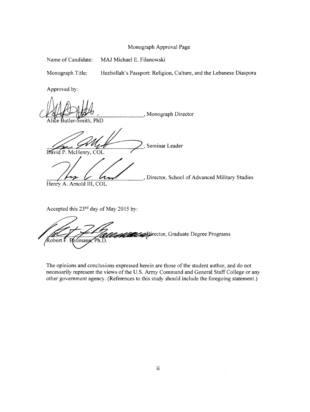# Monograph Approval Page

Name of Candidate: MAJ Michael E. Filanowski

Monograph Title: Hezbollah's Passport: Religion, Culture, and the Lebanese Diaspora

Approved by:

Monograph Director PhD

//7A{k 2, Seminar Leader -Bi1'~a~-i~d-P~.-M-c~~-e-nry~,C~O~L~~~~7-- Bavid P. McHenry, COL<br>
122 Collumeter, School of Advanced Military Studies

Henry A. Arnold III, COL

Accepted this 23nd day of May 2015 by:

Director, Graduate Degree Programs Robert F. Baumann, Ph.D.

The opinions and conclusions expressed herein are those of the student author, and do not necessarily represent the views of the U.S. Army Command and General Staff College or any other government agency. (References to this study should include the foregoing statement.)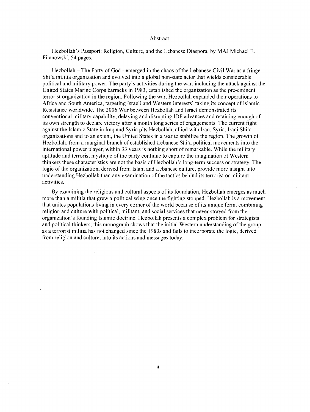#### Abstract

Hezbollah's Passport: Religion, Culture, and the Lebanese Diaspora, by MAJ Michael E. Filanowski, 54 pages.

Hezbollah- The Party of God - emerged in the chaos of the Lebanese Civil War as a fringe Shi'a militia organization and evolved into a global non-state actor that wields considerable political and military power. The party's activities during the war, including the attack against the United States Marine Corps barracks in 1983, established the organization as the pre-eminent terrorist organization in the region. Following the war, Hezbollah expanded their operations to Africa and South America, targeting Israeli and Western interests' taking its concept of Islamic Resistance worldwide. The 2006 War between Hezbollah and Israel demonstrated its conventional military capability, delaying and disrupting IDF advances and retaining enough of its own strength to declare victory after a month long series of engagements. The current fight against the Islamic State in Iraq and Syria pits Hezbollah, allied with Iran, Syria, Iraqi Shi'a organizations and to an extent, the United States in a war to stabilize the region. The growth of Hezbollah, from a marginal branch of established Lebanese Shi'a political movements into the international power player, within 33 years is nothing short of remarkable. While the military aptitude and terrorist mystique of the party continue to capture the imagination of Western thinkers these characteristics are not the basis of Hezbollah's long-term success or strategy. The logic of the organization, derived from Islam and Lebanese culture, provide more insight into understanding Hezbollah than any examination of the tactics behind its terrorist or militant activities.

By examining the religious and cultural aspects of its foundation, Hezbollah emerges as much more than a militia that grew a political wing once the fighting stopped. Hezbollah is a movement that unites populations living in every comer of the world because of its unique form, combining religion and culture with political, militant, and social services that never strayed from the organization's founding Islamic doctrine. Hezbollah presents a complex problem for strategists and political thinkers; this monograph shows that the initial Western understanding of the group as a terrorist militia has not changed since the 1980s and fails to incorporate the logic, derived from religion and culture, into its actions and messages today.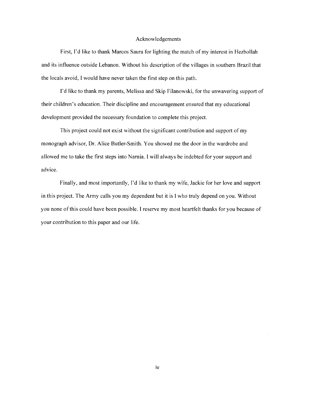# Acknowledgements

First, I'd like to thank Marcos Saura for lighting the match of my interest in Hezbollah and its influence outside Lebanon. Without his description of the villages in southern Brazil that the locals avoid, I would have never taken the first step on this path.

I'd like to thank my parents, Melissa and Skip Filanowski, for the unwavering support of their children's education. Their discipline and encouragement ensured that my educational development provided the necessary foundation to complete this project.

This project could not exist without the significant contribution and support of my monograph advisor, Dr. Alice Butler-Smith. You showed me the door in the wardrobe and allowed me to take the first steps into Narnia. I will always be indebted for your support and advice.

Finally, and most importantly, I'd like to thank my wife, Jackie for her love and support in this project. The Army calls you my dependent but it is I who truly depend on you. Without you none of this could have been possible. I reserve my most heartfelt thanks for you because of your contribution to this paper and our life.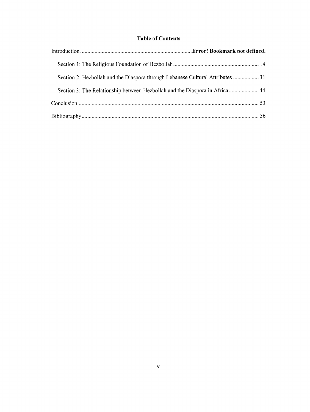# **Table of Contents**

| Section 3: The Relationship between Hezbollah and the Diaspora in Africa 44 |  |
|-----------------------------------------------------------------------------|--|
|                                                                             |  |
|                                                                             |  |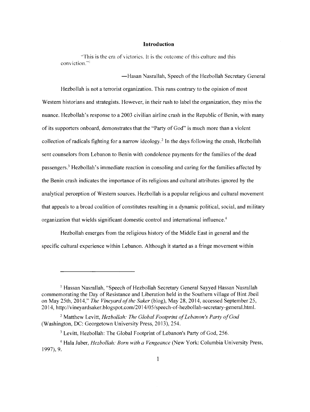#### **Introduction**

''This is the era of victories. It is the outcome of this culture and this conviction.'''

-Hasan Nasrallah, Speech of the Hezbollah Secretary General

Hezbollah is not a terrorist organization. This runs contrary to the opinion of most Western historians and strategists. However, in their rush to label the organization, they miss the nuance. Hezbollah's response to a 2003 civilian airline crash in the Republic of Benin, with many of its supporters onboard, demonstrates that the "Party of God" is much more than a violent collection of radicals fighting for a narrow ideology.<sup>2</sup> In the days following the crash, Hezbollah sent counselors from Lebanon to Benin with condolence payments for the families of the dead passengers.3 Hezbollah's immediate reaction in consoling and caring for the families affected by the Benin crash indicates the importance of its religious and cultural attributes ignored by the analytical perception of Western sources. Hezbollah is a popular religious and cultural movement that appeals to a broad coalition of constitutes resulting in a dynamic political, social, and military organization that wields significant domestic control and international intluence.4

Hezbollah emerges from the religious history of the Middle East in general and the specific cultural experience within Lebanon. Although it started as a fringe movement within

<sup>&</sup>lt;sup>1</sup> Hassan Nasrallah, "Speech of Hezbollah Secretary General Sayyed Hassan Nasrallah commemorating the Day of Resistance and Liberation held in the Southern village of Bint Jbeil on May 25th, 2014," *The Vineyard ofthe Saker* (blog), May 28, 2014, accessed September 25, 2014, http://vineyardsaker.blogspot.com/2014/05/speech-of-hezbollah-secretary-general.html.

<sup>&</sup>lt;sup>2</sup> Matthew Levitt, *Hezbollah: The Global Footprint of Lebanon's Party of God* (Washington, DC: Georgetown University Press, 2013), 254.

<sup>&</sup>lt;sup>3</sup> Levitt, Hezbollah: The Global Footprint of Lebanon's Party of God, 256.

<sup>4</sup> Hala Jaber, *Hezbollah: Born with a Vengeance* (New York: Columbia University Press, 1997), 9.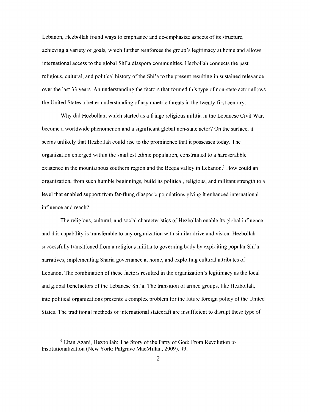Lebanon, Hezbollah found ways to emphasize and de-emphasize aspects of its structure, achieving a variety of goals, which further reinforces the group's legitimacy at home and allows international access to the global Shi' a diaspora communities. Hezbollah connects the past religious, cultural, and political history of the Shi'a to the present resulting in sustained relevance over the last 33 years. An understanding the factors that formed this type of non-state actor allows the United States a better understanding of asymmetric threats in the twenty-first century.

 $\ddot{\phantom{0}}$ 

Why did Hezbollah, which started as a fringe religious militia in the Lebanese Civil War, become a worldwide phenomenon and a significant global non-state actor? On the surface, it seems unlikely that Hezbollah could rise to the prominence that it possesses today. The organization emerged within the smallest ethnic population, constrained to a hardscrabble existence in the mountainous southern region and the Beqaa valley in Lebanon.<sup>5</sup> How could an organization, from such humble beginnings, build its political, religious, and militant strength to a level that enabled support from far-flung diasporic populations giving it enhanced international influence and reach?

The religious, cultural, and social characteristics of Hezbollah enable its global influence and this capability is transferable to any organization with similar drive and vision. Hezbollah successfully transitioned from a religious militia to governing body by exploiting popular Shi'a narratives, implementing Sharia governance at home, and exploiting cultural attributes of Lebanon. The combination of these factors resulted in the organization's legitimacy as the local and global benefactors of the Lebanese Shi'a. The transition of armed groups, like Hezbollah, into political organizations presents a complex problem for the future foreign policy of the United States. The traditional methods of international statecraft are insufficient to disrupt these type of

 $<sup>5</sup>$  Eitan Azani, Hezbollah: The Story of the Party of God: From Revolution to</sup> Institutionalization (New York: Palgrave MacMillan, 2009), 49.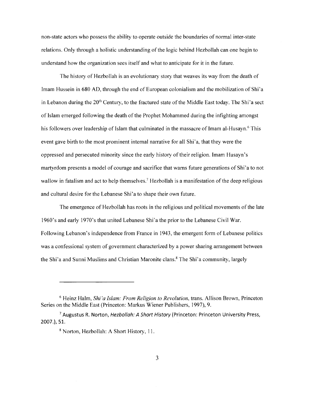non-state actors who possess the ability to operate outside the boundaries of normal inter-state relations. Only through a holistic understanding ofthe logic behind Hezbollah can one begin to understand how the organization sees itself and what to anticipate for it in the future.

The history of Hezbollah is an evolutionary story that weaves its way from the death of Imam Hussein in 680 AD, through the end of European colonialism and the mobilization of Shi' a in Lebanon during the  $20<sup>th</sup>$  Century, to the fractured state of the Middle East today. The Shi'a sect of Islam emerged following the death of the Prophet Mohammed during the infighting amongst his followers over leadership of Islam that culminated in the massacre of Imam al-Husayn.<sup>6</sup> This event gave birth to the most prominent internal narrative for all Shi' a, that they were the oppressed and persecuted minority since the early history of their religion. Imam Husayn's martyrdom presents a model of courage and sacrifice that warns future generations of Shi'a to not wallow in fatalism and act to help themselves.<sup>7</sup> Hezbollah is a manifestation of the deep religious and cultural desire for the Lebanese Shi'a to shape their own future.

The emergence of Hezbollah has roots in the religious and political movements ofthe late 1960's and early 1970's that united Lebanese Shi' a the prior to the Lebanese Civil War. Following Lebanon's independence from France in 1943, the emergent form of Lebanese politics was a confessional system of government characterized by a power sharing arrangement between the Shi'a and Sunni Muslims and Christian Maronite clans.<sup>8</sup> The Shi'a community, largely

<sup>6</sup> Heinz Halm, *Shi 'a Islam: From Religion to Revolution,* trans. Allison Brown, Princeton Series on the Middle East (Princeton: Markus Wiener Publishers, 1997), 9.

<sup>&</sup>lt;sup>7</sup> Augustus R. Norton, *Hezbollah: A Short History* (Princeton: Princeton University Press, 2007.), 51.

<sup>8</sup> Norton, Hezbollah: A Short History, 11.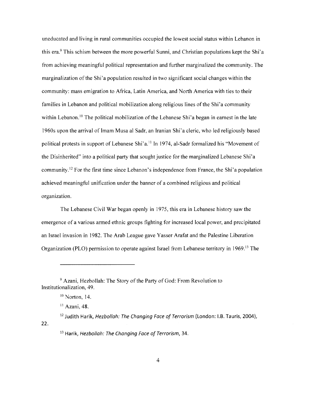uneducated and living in rural communities occupied the lowest social status within Lebanon in this era.<sup>9</sup> This schism between the more powerful Sunni, and Christian populations kept the Shi'a from achieving meaningful political representation and further marginalized the community. The marginalization of the Shi'a population resulted in two significant social changes within the community: mass emigration to Africa, Latin America, and North America with ties to their families in Lebanon and political mobilization along religious lines of the Shi'a community within Lebanon.<sup>10</sup> The political mobilization of the Lebanese Shi'a began in earnest in the late 1960s upon the arrival of Imam Musa al Sadr, an Iranian Shi'a cleric, who led religiously based political protests in support of Lebanese Shi'a.<sup>11</sup> In 1974, al-Sadr formalized his "Movement of the Disinherited" into a political party that sought justice for the marginalized Lebanese Shi' a community. 12 For the first time since Lebanon's independence from France, the Shi'a population achieved meaningful unification under the banner of a combined religious and political organization.

The Lebanese Civil War began openly in 1975, this era in Lebanese history saw the emergence of a various armed ethnic groups fighting for increased local power, and precipitated an Israel invasion in 1982. The Arab League gave Yasser Arafat and the Palestine Liberation Organization (PLO) permission to operate against Israel from Lebanese territory in 1969. 13 The

<sup>9</sup> Azani, Hezbollah: The Story of the Party of God: From Revolution to Institutionalization, 49.

 $10$  Norton, 14.

<sup>&</sup>lt;sup>11</sup> Azani, 48.

 $12$  Judith Harik, Hezbollah: The Changing Face of Terrorism (London: I.B. Tauris, 2004), 22.

 $13$  Harik, Hezbollah: The Changing Face of Terrorism, 34.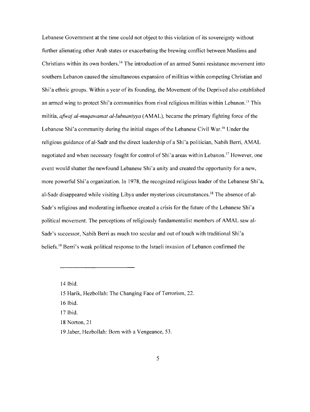Lebanese Government at the time could not object to this violation of its sovereignty without further alienating other Arab states or exacerbating the brewing conflict between Muslims and Christians within its own borders. 14 The introduction of an armed Sunni resistance movement into southern Lebanon caused the simultaneous expansion of militias within competing Christian and Shi'a ethnic groups. Within a year of its founding, the Movement of the Deprived also established an armed wing to protect Shi'a communities from rival religious militias within Lebanon.<sup>15</sup> This militia, *afwaj al-muqawamat al-lubnaniyya* (AMAL), became the primary fighting force of the Lebanese Shi'a community during the initial stages of the Lebanese Civil War.<sup>16</sup> Under the religious guidance of al-Sadr and the direct leadership of a Shi'a politician, Nabih Berri, AMAL negotiated and when necessary fought for control of Shi'a areas within Lebanon.<sup>17</sup> However, one event would shatter the newfound Lebanese Shi'a unity and created the opportunity for a new, more powerful Shi'a organization. In 1978, the recognized religious leader ofthe Lebanese Shi'a, al-Sadr disappeared while visiting Libya under mysterious circumstances.<sup>18</sup> The absence of al-Sadr's religious and moderating influence created a crisis for the future of the Lebanese Shi'a political movement. The perceptions of religiously fundamentalist members of AMAL saw al-Sadr's successor, Nabih Berri as much too secular and out of touch with traditional Shi'a beliefs.<sup>19</sup> Berri's weak political response to the Israeli invasion of Lebanon confirmed the

14 Ibid.

16 Ibid.

17 Ibid.

18 Norton, 21

<sup>15</sup> Harik, Hezbollah: The Changing Face of Terrorism, 22.

<sup>19</sup> Jaber, Hezbollah: Born with a Vengeance, 53.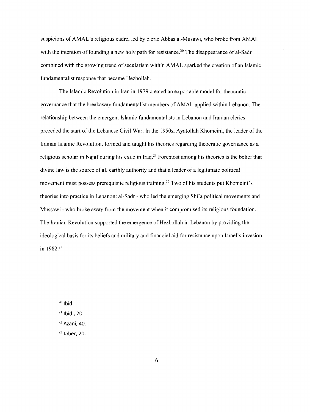suspicions of AMAL's religious cadre, led by cleric Abbas al-Musawi, who broke from AMAL with the intention of founding a new holy path for resistance.<sup>20</sup> The disappearance of al-Sadr combined with the growing trend of secularism within AMAL sparked the creation of an Islamic fundamentalist response that became Hezbollah.

The Islamic Revolution in Iran in 1979 created an exportable model for theocratic governance that the breakaway fundamentalist members of AMAL applied within Lebanon. The relationship between the emergent Islamic fundamentalists in Lebanon and Iranian clerics preceded the start of the Lebanese Civil War. In the 1950s, Ayatollah Khomeini, the leader of the Iranian Islamic Revolution, formed and taught his theories regarding theocratic governance as a religious scholar in Najaf during his exile in Iraq.<sup>21</sup> Foremost among his theories is the belief that divine law is the source of all earthly authority and that a leader of a legitimate political movement must possess prerequisite religious training.<sup>22</sup> Two of his students put Khomeini's theories into practice in Lebanon: al-Sadr - who led the emerging Shi' a political movements and Mussawi - who broke away from the movement when it compromised its religious foundation. The Iranian Revolution supported the emergence of Hezbollah in Lebanon by providing the ideological basis for its beliefs and military and financial aid for resistance upon Israel's invasion in 1982.23

 $20$  Ibid.

<sup>&</sup>lt;sup>21</sup> Ibid., 20.

<sup>22</sup> Azani, 40.

 $23$  Jaber, 20.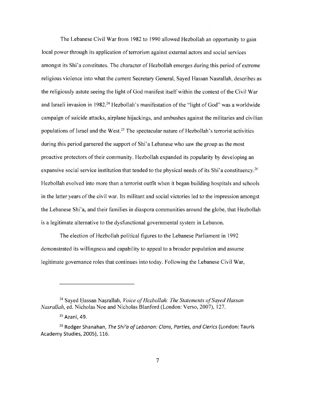The Lebanese Civil War from 1982 to 1990 allowed Hezbollah an opportunity to gain local power through its application of terrorism against external actors and social services amongst its Shi'a constitutes. The character of Hezbollah emerges during this period of extreme religious violence into what the current Secretary General, Sayed Hassan Nasrallah, describes as the religiously astute seeing the light of God manifest itself within the context of the Civil War and Israeli invasion in 1982.<sup>24</sup> Hezbollah's manifestation of the "light of God" was a worldwide campaign of suicide attacks, airplane hijackings, and ambushes against the militaries and civilian populations of Israel and the West.<sup>25</sup> The spectacular nature of Hezbollah's terrorist activities during this period garnered the support of Shi'a Lebanese who saw the group as the most proactive protectors of their community. Hezbollah expanded its popularity by developing an expansive social service institution that tended to the physical needs of its Shi'a constituency.<sup>26</sup> Hezbollah evolved into more than a terrorist outfit when it began building hospitals and schools in the latter years of the civil war. Its militant and social victories led to the impression amongst the Lebanese Shi'a, and their families in diaspora communities around the globe, that Hezbollah is a legitimate alternative to the dysfunctional governmental system in Lebanon.

The election of Hezbollah political figures to the Lebanese Parliament in 1992 demonstrated its willingness and capability to appeal to a broader population and assume legitimate governance roles that continues into today. Following the Lebanese Civil War,

<sup>&</sup>lt;sup>24</sup> Sayed Hassan Nașrallah, *Voice of Hezbollah: The Statements of Sayed Hassan Nasrallah,* ed. Nicholas Noe and Nicholas Blanford (London: Verso, 2007), 127.

<sup>&</sup>lt;sup>25</sup> Azani, 49.

 $26$  Rodger Shanahan, The Shi'a of Lebanon: Clans, Parties, and Clerics (London: Tauris Academy Studies, 2005), 116.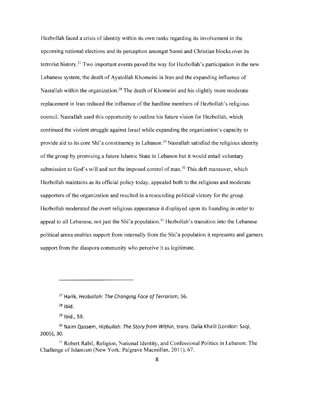Hezbollah faced a crisis of identity within its own ranks regarding its involvement in the upcoming national elections and its perception amongst Sunni and Christian blocks over its terrorist history.<sup>27</sup> Two important events paved the way for Hezbollah's participation in the new Lebanese system, the death of Ayatollah Khomeini in Iran and the expanding influence of Nasrallah within the organization.<sup>28</sup> The death of Khomeini and his slightly more moderate replacement in Iran reduced the influence of the hardline members of Hezbollah's religious council. Nasrallah used this opportunity to outline his future vision for Hezbollah, which continued the violent struggle against Israel while expanding the organization's capacity to provide aid to its core Shi'a constituency in Lebanon.<sup>29</sup> Nasrallah satisfied the religious identity of the group by promising a future Islamic State in Lebanon but it would entail voluntary submission to God's will and not the imposed control of man.<sup>30</sup> This deft maneuver, which Hezbollah maintains as its official policy today, appealed both to the religious and moderate supporters of the organization and resulted in a resounding political victory for the group. Hezbollah moderated the overt religious appearance it displayed upon its founding in order to appeal to all Lebanese, not just the Shi'a population.<sup>31</sup> Hezbollah's transition into the Lebanese political arena enables support from internally from the Shi'a population it represents and garners support from the diaspora community who perceive it as legitimate.

 $27$  Harik, Hezbollah: The Changing Face of Terrorism, 56.

 $28$  Ibid.

 $^{29}$  Ibid., 59.

<sup>&</sup>lt;sup>30</sup> Naim Qassem, Hizbullah: The Story from Within, trans. Dalia Khalil (London: Saqi, 2005), 30.

<sup>&</sup>lt;sup>31</sup> Robert Rabil, Religion, National Identity, and Confessional Politics in Lebanon: The Challenge of Islamism (New York: Palgrave Macmillan, 2011), 67.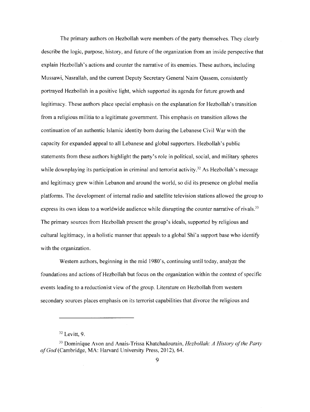The primary authors on Hezbollah were members of the party themselves. They clearly describe the logic, purpose, history, and future of the organization from an inside perspective that explain Hezbollah's actions and counter the narrative of its enemies. These authors, including Mussawi, Nasrallah, and the current Deputy Secretary General Nairn Qassem, consistently portrayed Hezbollah in a positive light, which supported its agenda for future growth and legitimacy. These authors place special emphasis on the explanation for Hezbollah's transition from a religious militia to a legitimate government. This emphasis on transition allows the continuation of an authentic Islamic identity born during the Lebanese Civil War with the capacity for expanded appeal to all Lebanese and global supporters. Hezbollah's public statements from these authors highlight the party's role in political, social, and military spheres while downplaying its participation in criminal and terrorist activity.<sup>32</sup> As Hezbollah's message and legitimacy grew within Lebanon and around the world, so did its presence on global media platforms. The development of internal radio and satellite television stations allowed the group to express its own ideas to a worldwide audience while disrupting the counter narrative of rivals.<sup>33</sup> The primary sources from Hezbollah present the group's ideals, supported by religious and cultural legitimacy, in a holistic manner that appeals to a global Shi'a support base who identify with the organization.

Western authors, beginning in the mid 1980's, continuing until today, analyze the foundations and actions of Hezbollah but focus on the organization within the context of specific events leading to a reductionist view of the group. Literature on Hezbollah from western secondary sources places emphasis on its terrorist capabilities that divorce the religious and

 $32$  Levitt, 9.

<sup>33</sup> Dominique Avon and Anais-Trissa Khatchadourain, *Hezbollah: A History ofthe Party ofGod* (Cambridge, MA: Harvard University Press, 2012), 64.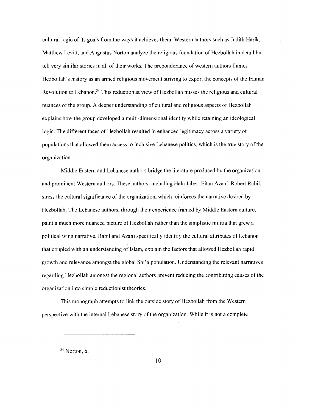cultural logic of its goals from the ways it achieves them. Western authors such as Judith Harik, Matthew Levitt, and Augustus Norton analyze the religious foundation of Hezbollah in detail but tell very similar stories in all of their works. The preponderance of western authors frames Hezbollah's history as an armed religious movement striving to export the concepts of the Iranian Revolution to Lebanon.<sup>34</sup> This reductionist view of Hezbollah misses the religious and cultural nuances ofthe group. A deeper understanding of cultural and religious aspects of Hezbollah explains how the group developed a multi-dimensional identity while retaining an ideological logic. The different faces of Hezbollah resulted in enhanced legitimacy across a variety of populations that allowed them access to inclusive Lebanese politics, which is the true story ofthe organization.

Middle Eastern and Lebanese authors bridge the literature produced by the organization and prominent Western authors. These authors, including Hala Jaber, Eitan Azani, Robert Rabil, stress the cultural significance of the organization, which reinforces the narrative desired by Hezbollah. The Lebanese authors, through their experience framed by Middle Eastern culture, paint a much more nuanced picture of Hezbollah rather than the simplistic militia that grew a political wing narrative. Rabil and Azani specifically identify the cultural attributes of Lebanon that coupled with an understanding of Islam, explain the factors that allowed Hezbollah rapid growth and relevance amongst the global Shi'a population. Understanding the relevant narratives regarding Hezbollah amongst the regional authors prevent reducing the contributing causes of the organization into simple reductionist theories.

This monograph attempts to link the outside story of Hezbollah from the Western perspective with the internal Lebanese story of the organization. While it is not a complete

 $34$  Norton, 6.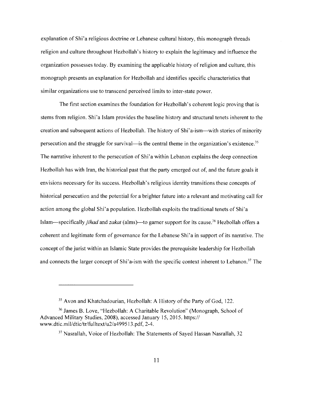explanation of Shi'a religious doctrine or Lebanese cultural history, this monograph threads religion and culture throughout Hezbollah's history to explain the legitimacy and influence the organization possesses today. By examining the applicable history ofreligion and culture, this monograph presents an explanation for Hezbollah and identifies specific characteristics that similar organizations use to transcend perceived limits to inter-state power.

The first section examines the foundation for Hezbollah's coherent logic proving that is stems from religion. Shi'a Islam provides the baseline history and structural tenets inherent to the creation and subsequent actions of Hezbollah. The history of Shi'a-ism—with stories of minority persecution and the struggle for survival—is the central theme in the organization's existence.<sup>35</sup> The narrative inherent to the persecution of Shi'a within Lebanon explains the deep connection Hezbollah has with Iran, the historical past that the party emerged out of, and the future goals it envisions necessary for its success. Hezbollah's religious identity transitions these concepts of historical persecution and the potential for a brighter future into a relevant and motivating call for action among the global Shi'a population. Hezbollah exploits the traditional tenets of Shi'a Islam-specifically *jihad* and *zakat* (alms)---to garner support for its cause.<sup>36</sup> Hezbollah offers a coherent and legitimate form of governance for the Lebanese Shi'a in support of its narrative. The concept of the jurist within an Islamic State provides the prerequisite leadership for Hezbollah and connects the larger concept of Shi'a-ism with the specific context inherent to Lebanon.<sup>37</sup> The

<sup>&</sup>lt;sup>35</sup> Avon and Khatchadourian, Hezbollah: A History of the Party of God, 122.

<sup>36</sup> James B. Love, "Hezbollah: A Charitable Revolution" (Monograph, School of Advanced Military Studies, 2008), accessed January 15, 2015. https:// www.dtic.mil/dtic/tr/fulltext/u2/a4995 l 3.pdf, 2-4.

<sup>&</sup>lt;sup>37</sup> Nasrallah, Voice of Hezbollah: The Statements of Sayed Hassan Nasrallah, 32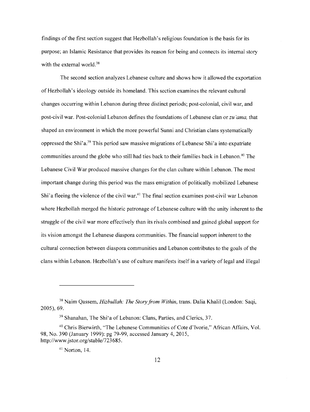findings ofthe first section suggest that Hezbollah's religious foundation is the basis for its purpose; an Islamic Resistance that provides its reason for being and connects its internal story with the external world. $38$ 

The second section analyzes Lebanese culture and shows how it allowed the exportation of Hezbollah's ideology outside its homeland. This section examines the relevant cultural changes occurring within Lebanon during three distinct periods; post-colonial, civil war, and post-civil war. Post-colonial Lebanon defines the foundations of Lebanese clan or *zu 'ama,* that shaped an environment in which the more powerful Sunni and Christian clans systematically oppressed the Shi'a.39 This period saw massive migrations of Lebanese Shi'a into expatriate communities around the globe who still had ties back to their families back in Lebanon.<sup>40</sup> The Lebanese Civil War produced massive changes for the clan culture within Lebanon. The most important change during this period was the mass emigration of politically mobilized Lebanese Shi'a fleeing the violence of the civil war.<sup>41</sup> The final section examines post-civil war Lebanon where Hezbollah merged the historic patronage of Lebanese culture with the unity inherent to the struggle of the civil war more effectively than its rivals combined and gained global support for its vision amongst the Lebanese diaspora communities. The financial support inherent to the cultural connection between diaspora communities and Lebanon contributes to the goals of the clans within Lebanon. Hezbollah's use of culture manifests itself in a variety of legal and illegal

 $41$  Norton, 14.

<sup>&</sup>lt;sup>38</sup> Naim Qassem, *Hizbullah: The Story from Within*, trans. Dalia Khalil (London: Saqi, 2005), 69.

<sup>39</sup> Shanahan, The Shi'a of Lebanon: Clans, Parties, and Clerics, 37.

<sup>4</sup> °Chris Bierwirth, "The Lebanese Communities of Cote d'lvorie," African Affairs, Vol. 98, No. 390 (January 1999): pg 79-99, accessed January 4, 2015, http://www.jstor.org/stable/723685.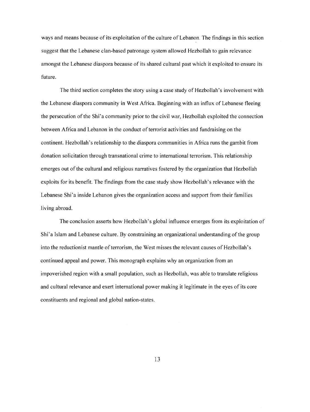ways and means because of its exploitation of the culture of Lebanon. The findings in this section suggest that the Lebanese clan-based patronage system allowed Hezbollah to gain relevance amongst the Lebanese diaspora because of its shared cultural past which it exploited to ensure its future.

The third section completes the story using a case study of Hezbollah's involvement with the Lebanese diaspora community in West Africa. Beginning with an influx of Lebanese fleeing the persecution ofthe Shi'a community prior to the civil war, Hezbollah exploited the connection between Africa and Lebanon in the conduct of terrorist activities and fundraising on the continent. Hezbollah's relationship to the diaspora communities in Africa runs the gambit from donation solicitation through transnational crime to international terrorism. This relationship emerges out of the cultural and religious narratives fostered by the organization that Hezbollah exploits for its benefit. The findings from the case study show Hezbollah's relevance with the Lebanese Shi'a inside Lebanon gives the organization access and support from their families living abroad.

The conclusion asserts how Hezbollah's global influence emerges from its exploitation of Shi'a Islam and Lebanese culture. By constraining an organizational understanding of the group into the reductionist mantle of terrorism, the West misses the relevant causes of Hezbollah's continued appeal and power. This monograph explains why an organization from an impoverished region with a small population, such as Hezbollah, was able to translate religious and cultural relevance and exert international power making it legitimate in the eyes of its core constituents and regional and global nation-states.

13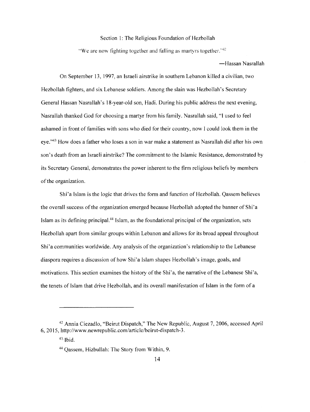# Section 1: The Religious Foundation of Hezbollah

"We are now fighting together and falling as martyrs together." $42$ 

#### -Hassan Nasrallah

On September 13, 1997, an Israeli airstrike in southern Lebanon killed a civilian, two Hezbollah fighters, and six Lebanese soldiers. Among the slain was Hezbollah's Secretary General Hassan Nasrallah's 18-year-old son, Hadi. During his public address the next evening, Nasrallah thanked God for choosing a martyr from his family. Nasrallah said, "I used to feel ashamed in front of families with sons who died for their country, now I could look them in the eye."43 How does a father who loses a son in war make a statement as Nasrallah did after his own son's death from an Israeli airstrike? The commitment to the Islamic Resistance, demonstrated by its Secretary General, demonstrates the power inherent to the firm religious beliefs by members of the organization.

Shi'a Islam is the logic that drives the form and function of Hezbollah. Qassem believes the overall success ofthe organization emerged because Hezbollah adopted the banner of Shi'a Islam as its defining principal.44 Islam, as the foundational principal of the organization, sets Hezbollah apart from similar groups within Lebanon and allows for its broad appeal throughout Shi'a communities worldwide. Any analysis of the organization's relationship to the Lebanese diaspora requires a discussion of how Shi' a Islam shapes Hezbollah's image, goals, and motivations. This section examines the history of the Shi'a, the narrative ofthe Lebanese Shi'a, the tenets of Islam that drive Hezbollah, and its overall manifestation of Islam in the form of a

<sup>42</sup> Annia Ciezadlo, "Beirut Dispatch," The New Republic, August 7, 2006, accessed April 6, 2015, http://www.newrepublic.com/article/beirut-dispatch-3.

 $43$ • Ibid.

<sup>44</sup>Qassem, Hizbullah: The Story from Within, 9.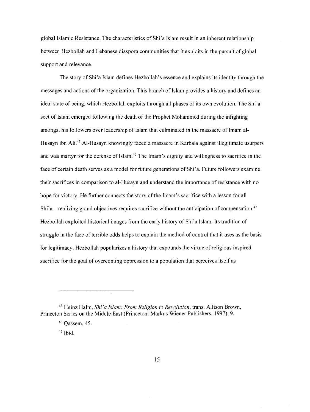global Islamic Resistance. The characteristics of Shi'a Islam result in an inherent relationship between Hezbollah and Lebanese diaspora communities that it exploits in the pursuit of global support and relevance.

The story of Shi'a Islam defines Hezbollah's essence and explains its identity through the messages and actions of the organization. This branch of Islam provides a history and defines an ideal state of being, which Hezbollah exploits through all phases of its own evolution. The Shi'a sect of Islam emerged following the death of the Prophet Mohammed during the infighting amongst his followers over leadership of Islam that culminated in the massacre of Imam al-Husayn ibn Ali.45 Al-Husayn knowingly faced a massacre in Karbala against illegitimate usurpers and was martyr for the defense of Islam. 46 The Imam's dignity and willingness to sacrifice in the face of certain death serves as a model for future generations of Shi'a. Future followers examine their sacrifices in comparison to al-Husayn and understand the importance of resistance with no hope for victory. He further connects the story of the Imam's sacrifice with a lesson for all Shi'a—realizing grand objectives requires sacrifice without the anticipation of compensation.<sup>47</sup> Hezbollah exploited historical images from the early history of Shi'a Islam. Its tradition of struggle in the face of terrible odds helps to explain the method of control that it uses as the basis for legitimacy. Hezbollah popularizes a history that expounds the virtue of religious inspired sacrifice for the goal of overcoming oppression to a population that perceives itself as

 $47$  Ibid.

<sup>45</sup> Heinz Halm, *Shi 'a Islam: From Religion to Revolution,* trans. Allison Brown, Princeton Series on the Middle East (Princeton: Markus Wiener Publishers, 1997), 9.

<sup>46</sup> Qassem, 45.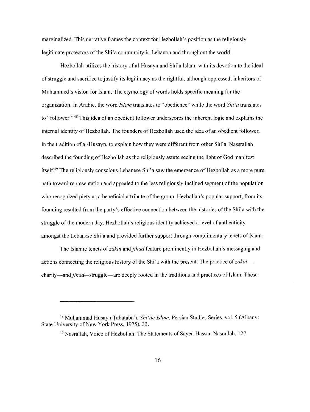marginalized. This narrative frames the context for Hezbollah's position as the religiously legitimate protectors of the Shi'a community in Lebanon and throughout the world.

Hezbollah utilizes the history of al-Husayn and Shi'a Islam, with its devotion to the ideal of struggle and sacrifice to justify its legitimacy as the rightful, although oppressed, inheritors of Muhammed's vision for Islam. The etymology of words holds specific meaning for the organization. In Arabic, the word *Islam* translates to "obedience" while the word *Shi 'a* translates to "follower."<sup>48</sup> This idea of an obedient follower underscores the inherent logic and explains the internal identity of Hezbollah. The founders of Hezbollah used the idea of an obedient follower, in the tradition of al-Husayn, to explain how they were different from other Shi'a. Nassrallah described the founding of Hezbollah as the religiously astute seeing the light of God manifest itself.49 The religiously conscious Lebanese Shi'a saw the emergence of Hezbollah as a more pure path toward representation and appealed to the less religiously inclined segment of the population who recognized piety as a beneficial attribute of the group. Hezbollah's popular support, from its founding resulted from the party's effective connection between the histories of the Shi'a with the struggle of the modern day. Hezbollah's religious identity achieved a level of authenticity amongst the Lebanese Shi'a and provided further support through complimentary tenets of Islam.

The Islamic tenets of*zakat* and *jihad* feature prominently in Hezbollah's messaging and actions connecting the religious history of the Shi'a with the present. The practice of zakatcharity-and*jihad-struggle-are* deeply rooted in the traditions and practices of Islam. These

<sup>&</sup>lt;sup>48</sup> Muḥammad Ḥusayn Țabāṭabā'ī, *Shi'ite Islam*, Persian Studies Series, vol. 5 (Albany: State University of New York Press, 1975), 33.

<sup>&</sup>lt;sup>49</sup> Nasrallah, Voice of Hezbollah: The Statements of Sayed Hassan Nasrallah, 127.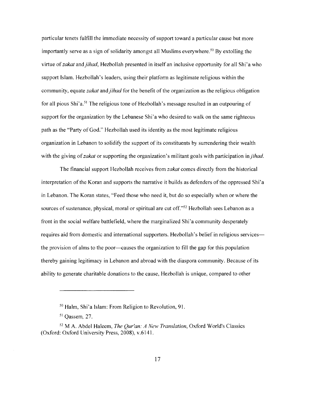particular tenets fulfill the immediate necessity of support toward a particular cause but more importantly serve as a sign of solidarity amongst all Muslims everywhere.<sup>50</sup> By extolling the virtue of *zakat* and *jihad,* Hezbollah presented in itself an inclusive opportunity for all Shi'a who support Islam. Hezbollah's leaders, using their platform as legitimate religious within the community, equate *zakat* and *jihad* for the benefit of the organization as the religious obligation for all pious Shi'a.<sup>51</sup> The religious tone of Hezbollah's message resulted in an outpouring of support for the organization by the Lebanese Shi'a who desired to walk on the same righteous path as the "Party of God." Hezbollah used its identity as the most legitimate religious organization in Lebanon to solidify the support of its constituents by surrendering their wealth with the giving of*zakat* or supporting the organization's militant goals with participation in *jihad.* 

The financial support Hezbollah receives from *zakat* comes directly from the historical interpretation of the Koran and supports the narrative it builds as defenders of the oppressed Shi'a in Lebanon. The Koran states, "Feed those who need it, but do so especially when or where the sources of sustenance, physical, moral or spiritual are cut off."<sup>52</sup> Hezbollah sees Lebanon as a front in the social welfare battlefield, where the marginalized Shi'a community desperately requires aid from domestic and international supporters. Hezbollah's belief in religious services the provision of alms to the poor--causes the organization to fill the gap for this population thereby gaining legitimacy in Lebanon and abroad with the diaspora community. Because of its ability to generate charitable donations to the cause, Hezbollah is unique, compared to other

<sup>50</sup> Halm, Shi'a Islam: From Religion to Revolution, 91.

<sup>51</sup> Qassem, 27.

<sup>52</sup> MA. Abdel Haleem, *The Qur'an: A New Translation,* Oxford World's Classics (Oxford: Oxford University Press, 2008), v.6141.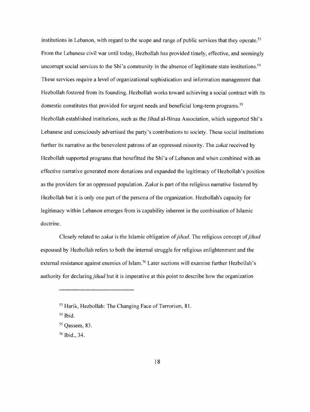institutions in Lebanon, with regard to the scope and range of public services that they operate.<sup>53</sup> From the Lebanese civil war until today, Hezbollah has provided timely, effective, and seemingly uncorrupt social services to the Shi'a community in the absence of legitimate state institutions.<sup>54</sup> These services require a level of organizational sophistication and information management that Hezbollah fostered from its founding. Hezbollah works toward achieving a social contract with its domestic constitutes that provided for urgent needs and beneficial long-term programs.<sup>55</sup> Hezbollah established institutions, such as the Jihad al-Binaa Association, which supported Shi'a Lebanese and consciously advertised the party's contributions to society. These social institutions further its narrative as the benevolent patrons of an oppressed minority. The *zakat* received by Hezbollah supported programs that benefitted the Shi'a of Lebanon and when combined with an effective narrative generated more donations and expanded the legitimacy of Hezbollah's position as the providers for an oppressed population. *Zakat* is part of the religious narrative fostered by Hezbollah but it is only one part of the persona of the organization. Hezbollah's capacity for legitimacy within Lebanon emerges from is capability inherent in the combination of Islamic doctrine.

Closely related to *zakat* is the Islamic obligation of*jihad.* The religious concept of*jihad*  espoused by Hezbollah refers to both the internal struggle for religious enlightenment and the external resistance against enemies of Islam. 56 Later sections will examine further Hezbollah's authority for declaring *jihad* but it is imperative at this point to describe how the organization

56 Ibid., 34.

<sup>&</sup>lt;sup>53</sup> Harik, Hezbollah: The Changing Face of Terrorism, 81.

<sup>54</sup> Ibid.

<sup>55</sup> Qassem, 83.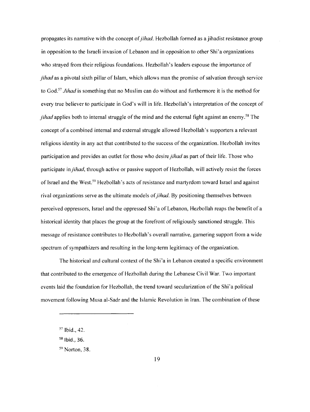propagates its narrative with the concept of*jihad.* Hezbollah formed as ajihadist resistance group in opposition to the Israeli invasion of Lebanon and in opposition to other Shi'a organizations who strayed from their religious foundations. Hezbollah's leaders espouse the importance of *jihad* as a pivotal sixth pillar of Islam, which allows man the promise of salvation through service to God. <sup>57</sup>*Jihad* is something that no Muslim can do without and furthermore it is the method for every true believer to participate in God's will in life. Hezbollah's interpretation of the concept of *jihad* applies both to internal struggle of the mind and the external fight against an enemy.<sup>58</sup> The concept of a combined internal and external struggle allowed Hezbollah's supporters a relevant religious identity in any act that contributed to the success of the organization. Hezbollah invites participation and provides an outlet for those who desire *jihad* as part of their life. Those who participate in *jihad,* through active or passive support of Hezbollah, will actively resist the forces of Israel and the West.<sup>59</sup> Hezbollah's acts of resistance and martyrdom toward Israel and against rival organizations serve as the ultimate models of*jihad.* By positioning themselves between perceived oppressors, Israel and the oppressed Shi'a of Lebanon, Hezbollah reaps the benefit of a historical identity that places the group at the forefront of religiously sanctioned struggle. This message ofresistance contributes to Hezbollah's overall narrative, garnering support from a wide spectrum of sympathizers and resulting in the long-term legitimacy of the organization.

The historical and cultural context of the Shi'a in Lebanon created a specific environment that contributed to the emergence of Hezbollah during the Lebanese Civil War. Two important events laid the foundation for Hezbollah, the trend toward secularization of the Shi'a political movement following Musa al-Sadr and the Islamic Revolution in Iran. The combination of these

<sup>57</sup> Ibid., 42.

 $58$  Ibid., 36.

<sup>59</sup> Norton, 38.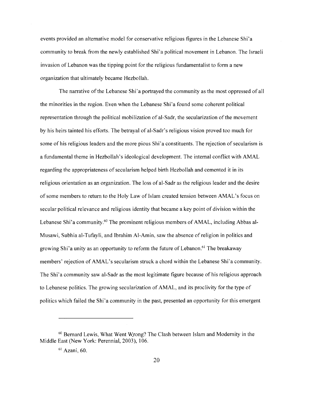events provided an alternative model for conservative religious figures in the Lebanese Shi'a community to break from the newly established Shi'a political movement in Lebanon. The Israeli invasion of Lebanon was the tipping point for the religious fundamentalist to form a new organization that ultimately became Hezbollah.

The narrative of the Lebanese Shi'a portrayed the community as the most oppressed of all the minorities in the region. Even when the Lebanese Shi'a found some coherent political representation through the political mobilization of al-Sadr, the secularization of the movement by his heirs tainted his efforts. The betrayal of al-Sadr's religious vision proved too much for some of his religious leaders and the more pious Shi'a constituents. The rejection of secularism is a fundamental theme in Hezbollah's ideological development. The internal conflict with AMAL regarding the appropriateness of secularism helped birth Hezbollah and cemented it in its religious orientation as an organization. The loss of al-Sadr as the religious leader and the desire of some members to return to the Holy Law of Islam created tension between AMAL's focus on secular political relevance and religious identity that became a key point of division within the Lebanese Shi'a community.<sup>60</sup> The prominent religious members of AMAL, including Abbas al-Musawi, Subhia al-Tufayli, and Ibrahim Al-Amin, saw the absence of religion in politics and growing Shi'a unity as an opportunity to reform the future of Lebanon.<sup>61</sup> The breakaway members' rejection of AMAL's secularism struck a chord within the Lebanese Shi'a community. The Shi'a community saw al-Sadr as the most legitimate figure because of his religious approach to Lebanese politics. The growing secularization of AMAL, and its proclivity for the type of politics which failed the Shi'a community in the past, presented an opportunity for this emergent

<sup>60</sup> Bernard Lewis, What Went W.rong? The Clash between Islam and Modernity in the Middle East (New York: Perennial, 2003), 106.

<sup>61</sup> Azani, 60.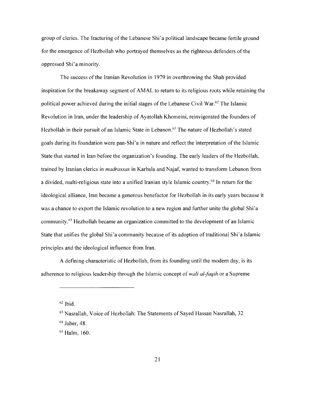group of clerics. The fracturing of the Lebanese Shi'a political landscape became fertile ground for the emergence of Hezbollah who portrayed themselves as the righteous defenders of the oppressed Shi' a minority.

The success of the Iranian Revolution in 1979 in overthrowing the Shah provided inspiration for the breakaway segment of AMAL to return to its religious roots while retaining the political power achieved during the initial stages of the Lebanese Civil War.<sup>62</sup> The Islamic Revolution in Iran, under the leadership of Ayatollah Khomeini, reinvigorated the founders of Hezbollah in their pursuit of an Islamic State in Lebanon.<sup>63</sup> The nature of Hezbollah's stated goals during its foundation were pan-Shi'a in nature and reflect the interpretation of the Islamic State that started in Iran before the organization's founding. The early leaders of the Hezbollah, trained by Iranian clerics in *madrassas* in Karbala and Najaf, wanted to transform Lebanon from a divided, multi-religious state into a unified Iranian style Islamic country.<sup>64</sup> In return for the ideological alliance, Iran became a generous benefactor for Hezbollah in its early years because it was a chance to export the Islamic revolution to a new region and further unite the global Shi'a community. 65 Hezbollah became an organization committed to the development of an Islamic State that unifies the global Shi'a community because of its adoption of traditional Shi'a Islamic principles and the ideological influence from Iran.

A defining characteristic of Hezbollah, from its founding until the modern day, is its adherence to religious leadership through the Islamic concept of *wali al-faqih* or a Supreme

 $62$  Ibid.

64 Jaber, 48.

65 Halm, 160.

<sup>63</sup> Nasrallah, Voice of Hezbollah: The Statements of Sayed Hassan Nasrallah, 32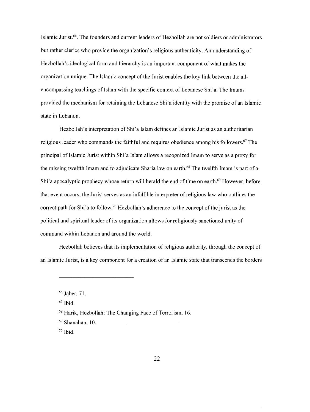Islamic Jurist.<sup>66</sup>. The founders and current leaders of Hezbollah are not soldiers or administrators but rather clerics who provide the organization's religious authenticity. An understanding of Hezbollah's ideological form and hierarchy is an important component of what makes the organization unique. The Islamic concept of the Jurist enables the key link between the allencompassing teachings of Islam with the specific context of Lebanese Shi'a. The Imams provided the mechanism for retaining the Lebanese Shi'a identity with the promise of an Islamic state in Lebanon.

Hezbollah's interpretation of Shi'a Islam defines an Islamic Jurist as an authoritarian religious leader who commands the faithful and requires obedience among his followers.<sup>67</sup> The principal of Islamic Jurist within Shi'a Islam allows a recognized Imam to serve as a proxy for the missing twelfth Imam and to adjudicate Sharia law on earth.<sup>68</sup> The twelfth Imam is part of a Shi'a apocalyptic prophecy whose return will herald the end of time on earth.<sup>69</sup> However, before that event occurs, the Jurist serves as an infallible interpreter of religious law who outlines the correct path for Shi'a to follow.<sup>70</sup> Hezbollah's adherence to the concept of the jurist as the political and spiritual leader of its organization allows for religiously sanctioned unity of command within Lebanon and around the world.

Hezbollah believes that its implementation of religious authority, through the concept of an Islamic Jurist, is a key component for a creation of an Islamic state that transcends the borders

 $67$  Ibid.

68 Harik, Hezbollah: The Changing Face of Terrorism, 16.

<sup>69</sup> Shanahan, 10.

 $70$  Ibid.

<sup>66</sup> Jaber, 71.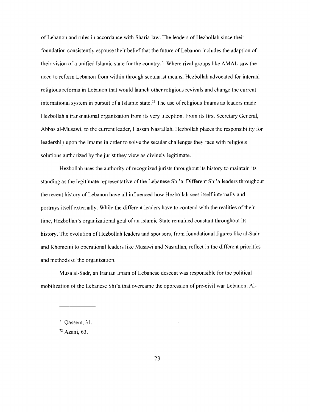ofLebanon and rules in accordance with Sharia law. The leaders of Hezbollah since their foundation consistently espouse their belief that the future of Lebanon includes the adaption of their vision of a unified Islamic state for the country.71 Where rival groups like AMAL saw the need to reform Lebanon from within through secularist means, Hezbollah advocated for internal religious reforms in Lebanon that would launch other religious revivals and change the current international system in pursuit of a Islamic state.<sup>72</sup> The use of religious Imams as leaders made Hezbollah a transnational organization from its very inception. From its first Secretary General, Abbas al-Musawi, to the current leader, Hassan Nasrallah, Hezbollah places the responsibility for leadership upon the Imams in order to solve the secular challenges they face with religious solutions authorized by the jurist they view as divinely legitimate.

Hezbollah uses the authority of recognized jurists throughout its history to maintain its standing as the legitimate representative of the Lebanese Shi'a. Different Shi'a leaders throughout the recent history of Lebanon have all influenced how Hezbollah sees itself internally and portrays itself externally. While the different leaders have to contend with the realities of their time, Hezbollah's organizational goal of an Islamic State remained constant throughout its history. The evolution of Hezbollah leaders and sponsors, from foundational figures like al-Sadr and Khomeini to operational leaders like Musawi and Nasrallah, reflect in the different priorities and methods of the organization.

Musa al-Sadr, an Iranian Imam of Lebanese descent was responsible for the political mobilization of the Lebanese Shi'a that overcame the oppression of pre-civil war Lebanon. Al-

<sup>71</sup> Qassem, 31.

<sup>72</sup> Azani, 63.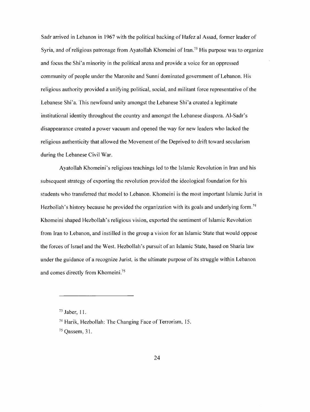Sadr arrived in Lebanon in 1967 with the political backing of Hafez al Assad, former leader of Syria, and of religious patronage from Ayatollah Khomeini of Iran.<sup>73</sup> His purpose was to organize and focus the Shi'a minority in the political arena and provide a voice for an oppressed community of people under the Maronite and Sunni dominated government of Lebanon. His religious authority provided a unifying political, social, and militant force representative of the Lebanese Shi'a. This newfound unity amongst the Lebanese Shi'a created a legitimate institutional identity throughout the country and amongst the Lebanese diaspora. Al-Sadr's disappearance created a power vacuum and opened the way for new leaders who lacked the religious authenticity that allowed the Movement of the Deprived to drift toward secularism during the Lebanese Civil War.

Ayatollah Khomeini's religious teachings led to the Islamic Revolution in Iran and his subsequent strategy of exporting the revolution provided the ideological foundation for his students who transferred that model to Lebanon. Khomeini is the most important Islamic Jurist in Hezbollah's history because he provided the organization with its goals and underlying form.<sup>74</sup> Khomeini shaped Hezbollah's religious vision, exported the sentiment of Islamic Revolution from Iran to Lebanon, and instilled in the group a vision for an Islamic State that would oppose the forces of Israel and the West. Hezbollah's pursuit of an Islamic State, based on Sharia law under the guidance of a recognize Jurist, is the ultimate purpose of its struggle within Lebanon and comes directly from Khomeini.75

<sup>73</sup> Jaber, 11.

<sup>74</sup> Harik, Hezbollah: The Changing Face of Terrorism, 15.

<sup>75</sup> Qassem, 31.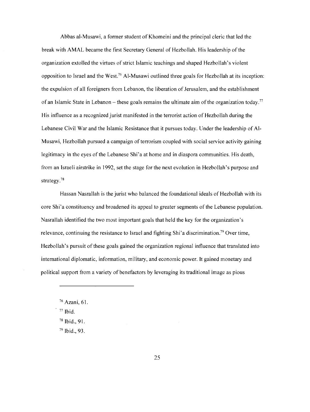Abbas al-Musawi, a former student of Khomeini and the principal cleric that led the break with AMAL became the first Secretary General of Hezbollah. His leadership ofthe organization extolled the virtues of strict Islamic teachings and shaped Hezbollah's violent opposition to Israel and the West.76 Al-Musawi outlined three goals for Hezbollah at its inception: the expulsion of all foreigners from Lebanon, the liberation of Jerusalem, and the establishment of an Islamic State in Lebanon – these goals remains the ultimate aim of the organization today.<sup>77</sup> His influence as a recognized jurist manifested in the terrorist action of Hezbollah during the Lebanese Civil War and the Islamic Resistance that it pursues today. Under the leadership of Al-Musawi, Hezbollah pursued a campaign of terrorism coupled with social service activity gaining legitimacy in the eyes of the Lebanese Shi'a at home and in diaspora communities. His death, from an Israeli airstrike in 1992, set the stage for the next evolution in Hezbollah's purpose and strategy.78

Hassan Nasrallah is the jurist who balanced the foundational ideals of Hezbollah with its core Shi'a constituency and broadened its appeal to greater segments of the Lebanese population. Nasrallah identified the two most important goals that held the key for the organization's relevance, continuing the resistance to Israel and fighting Shi'a discrimination.<sup>79</sup> Over time, Hezbollah's pursuit of these goals gained the organization regional influence that translated into international diplomatic, information, military, and economic power. It gained monetary and political support from a variety of benefactors by leveraging its traditional image as pious

- 78 Ibid., 91.
- 79 Ibid., 93.

<sup>76</sup> Azani, 61.

<sup>77</sup> Ibid.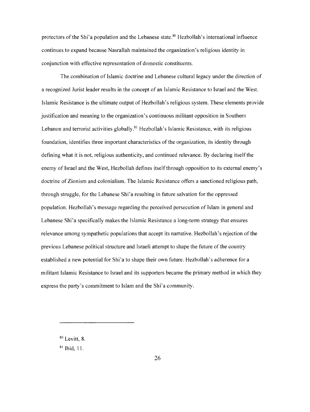protectors of the Shi'a population and the Lebanese state.<sup>80</sup> Hezbollah's international influence continues to expand because Nasrallah maintained the organization's religious identity in conjunction with effective representation of domestic constituents.

The combination of Islamic doctrine and Lebanese cultural legacy under the direction of a recognized Jurist leader results in the concept of an Islamic Resistance to Israel and the West. Islamic Resistance is the ultimate output of Hezbollah's religious system. These elements provide justification and meaning to the organization's continuous militant opposition in Southern Lebanon and terrorist activities globally.<sup>81</sup> Hezbollah's Islamic Resistance, with its religious foundation, identifies three important characteristics of the organization, its identity through defining what it is not, religious authenticity, and continued relevance. By declaring itself the enemy of Israel and the West, Hezbollah defines itself through opposition to its external enemy's doctrine of Zionism and colonialism. The Islamic Resistance offers a sanctioned religious path, through struggle, for the Lebanese Shi'a resulting in future salvation for the oppressed population. Hezbollah's message regarding the perceived persecution of Islam in general and Lebanese Shi' a specifically makes the Islamic Resistance a long-term strategy that ensures relevance among sympathetic populations that accept its narrative. Hezbollah's rejection of the previous Lebanese political structure and Israeli attempt to shape the future of the country established a new potential for Shi'a to shape their own future. Hezbollah's adherence for a militant Islamic Resistance to Israel and its supporters became the primary method in which they express the party's commitment to Islam and the Shi'a community.

80 Levitt, 8.

 $81$  Ibid, 11.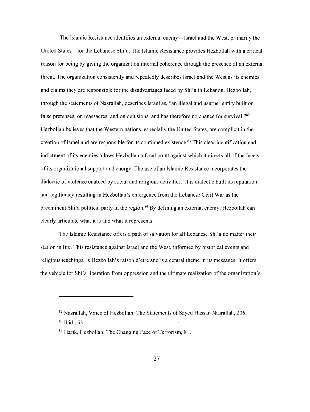The Islamic Resistance identifies an external enemy—Israel and the West, primarily the United States-for the Lebanese Shi'a. The Islamic Resistance provides Hezbollah with a critical reason for being by giving the organization internal coherence through the presence of an external threat. The organization consistently and repeatedly describes Israel and the West as its enemies and claims they are responsible for the disadvantages faced by Shi'a in Lebanon. Hezbollah, through the statements of Nasrallah, describes Israel as, "an illegal and usurper entity built on false pretenses, on massacres, and on delusions, and has therefore no chance for survival."82 Hezbollah believes that the Western nations, especially the United States, are complicit in the creation of Israel and are responsible for its continued existence.<sup>83</sup> This clear identification and indictment of its enemies allows Hezbollah a focal point against which it directs all of the facets of its organizational support and energy. The use of an Islamic Resistance incorporates the dialectic of violence enabled by social and religious activities. This dialectic built its reputation and legitimacy resulting in Hezbollah's emergence from the Lebanese Civil War as the preeminent Shi'a political party in the region.<sup>84</sup> By defining an external enemy, Hezbollah can clearly articulate what it is and what it represents.

The Islamic Resistance offers a path of salvation for all Lebanese Shi'a no matter their station in life. This resistance against Israel and the West, informed by historical events and religious teachings, is Hezbollah's raison d'etre and is a central theme in its messages. It offers the vehicle for Shi'a liberation from oppression and the ultimate realization ofthe organization's

<sup>&</sup>lt;sup>82</sup> Nasrallah, Voice of Hezbollah: The Statements of Sayed Hassan Nasrallah, 206.

<sup>83</sup> Ibid., 53.

<sup>&</sup>lt;sup>84</sup> Harik, Hezbollah: The Changing Face of Terrorism, 81.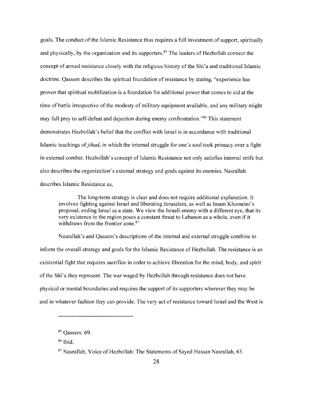goals. The conduct of the Islamic Resistance thus requires a full investment of support, spiritually and physically, by the organization and its supporters.<sup>85</sup> The leaders of Hezbollah connect the concept of armed resistance closely with the religious history of the Shi'a and traditional Islamic doctrine. Qassem describes the spiritual foundation of resistance by stating, "experience has proven that spiritual mobilization is a foundation for additional power that comes to aid at the time of battle irrespective of the modesty of military equipment available, and any military might may fall prey to self-defeat and dejection during enemy confrontation."86 This statement demonstrates Hezbollah's belief that the conflict with Israel is in accordance with traditional Islamic teachings of*jihad,* in which the internal struggle for one's soul took primacy over a fight in external combat. Hezbollah 's concept of Islamic Resistance not only satisfies internal strife but also describes the organization's external strategy and goals against its enemies. Nasrallah describes Islamic Resistance as,

The long-term strategy is clear and does not require additional explanation. It involves fighting against Israel and liberating Jerusalem, as well as Imam Khomeini's proposal, ending Israel as a state. We view the Israeli enemy with a different eye, that its very existence in the region poses a constant threat to Lebanon as a whole, even if it withdraws from the frontier zone.<sup>87</sup>

Nasrallah's and Qassem's descriptions of the internal and external struggle combine to inform the overall strategy and goals for the Islamic Resistance of Hezbollah. The resistance is an existential fight that requires sacrifice in order to achieve liberation for the mind, body, and spirit of the Shi'a they represent. The war waged by Hezbollah through resistance does not have physical or mental boundaries and requires the support of its supporters wherever they may be and in whatever fashion they can provide. The very act of resistance toward Israel and the West is

<sup>85</sup> Qassem, 69.

<sup>86</sup> Ibid.

<sup>87</sup> Nasrallah, Voice of Hezbollah: The Statements of Sayed Hassan Nasrallah, 63.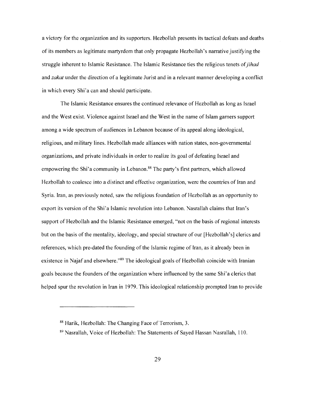a victory for the organization and its supporters. Hezbollah presents its tactical defeats and deaths of its members as legitimate martyrdom that only propagate Hezbollah' s narrative justifying the struggle inherent to Islamic Resistance. The Islamic Resistance ties the religious tenets of*jihad*  and *zakat* under the direction of a legitimate Jurist and in a relevant manner developing a conflict in which every Shi'a can and should participate.

The Islamic Resistance ensures the continued relevance of Hezbollah as long as Israel and the West exist. Violence against Israel and the West in the name of Islam garners support among a wide spectrum of audiences in Lebanon because of its appeal along ideological, religious, and military lines. Hezbollah made alliances with nation states, non-governmental organizations, and private individuals in order to realize its goal of defeating Israel and empowering the Shi'a community in Lebanon.<sup>88</sup> The party's first partners, which allowed Hezbollah to coalesce into a distinct and effective organization, were the countries of Iran and Syria. Iran, as previously noted, saw the religious foundation of Hezbollah as an opportunity to export its version ofthe Shi'a Islamic revolution into Lebanon. Nasrallah claims that Iran's support of Hezbollah and the Islamic Resistance emerged, "not on the basis of regional interests but on the basis of the mentality, ideology, and special structure of our [Hezbollah's] clerics and references, which pre-dated the founding of the Islamic regime of Iran, as it already been in existence in Najaf and elsewhere."<sup>89</sup> The ideological goals of Hezbollah coincide with Iranian goals because the founders of the organization where influenced by the same Shi' a clerics that helped spur the revolution in Iran in 1979. This ideological relationship prompted Iran to provide

<sup>88</sup> Harik, Hezbollah: The Changing Face of Terrorism, 3.

<sup>89</sup> Nasrallah, Voice of Hezbollah: The Statements of Sayed Hassan Nasrallah, 110.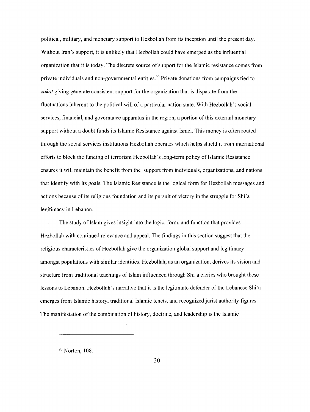political, military, and monetary support to Hezbollah from its inception until the present day. Without Iran's support, it is unlikely that Hezbollah could have emerged as the influential organization that it is today. The discrete source of support for the Islamic resistance comes from private individuals and non-governmental entities.<sup>90</sup> Private donations from campaigns tied to zakat giving generate consistent support for the organization that is disparate from the fluctuations inherent to the political will of a particular nation state. With Hezbollah's social services, financial, and governance apparatus in the region, a portion of this external monetary support without a doubt funds its Islamic Resistance against Israel. This money is often routed through the social services institutions Hezbollah operates which helps shield it from international efforts to block the funding of terrorism Hezbollah's long-term policy of Islamic Resistance ensures it will maintain the benefit from the support from individuals, organizations, and nations that identify with its goals. The Islamic Resistance is the logical form for Hezbollah messages and actions because of its religious foundation and its pursuit of victory in the struggle for Shi'a legitimacy in Lebanon.

The study of Islam gives insight into the logic, form, and function that provides Hezbollah with continued relevance and appeal. The findings in this section suggest that the religious characteristics of Hezbollah give the organization global support and legitimacy amongst populations with similar identities. Hezbollah, as an organization, derives its vision and structure from traditional teachings of Islam influenced through Shi'a clerics who brought these lessons to Lebanon. Hezbollah's narrative that it is the legitimate defender of the Lebanese Shi'a emerges from Islamic history, traditional Islamic tenets, and recognized jurist authority figures. The manifestation of the combination of history, doctrine, and leadership is the Islamic

90 Norton, 108.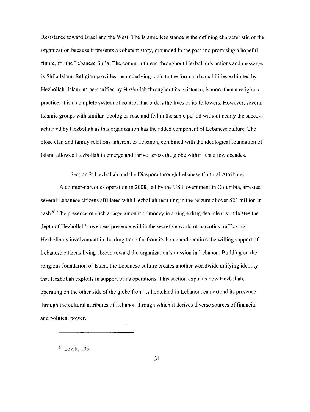Resistance toward Israel and the West. The Islamic Resistance is the defining characteristic of the organization because it presents a coherent story, grounded in the past and promising a hopeful future, for the Lebanese Shi'a. The common thread throughout Hezbollah's actions and messages is Shi'a Islam. Religion provides the underlying logic to the form and capabilities exhibited by Hezbollah. Islam, as personified by Hezbollah throughout its existence, is more than a religious practice; it is a complete system of control that orders the lives of its followers. However, several Islamic groups with similar ideologies rose and fell in the same period without nearly the success achieved by Hezbollah as this organization has the added component of Lebanese culture. The close clan and family relations inherent to Lebanon, combined with the ideological foundation of Islam, allowed Hezbollah to emerge and thrive across the globe within just a few decades.

Section 2: Hezbollah and the Diaspora through Lebanese Cultural Attributes

A counter-narcotics operation in 2008, led by the US Government in Columbia, arrested several Lebanese citizens affiliated with Hezbollah resulting in the seizure of over \$23 million in cash.91 The presence of such a large amount of money in a single drug deal clearly indicates the depth of Hezbollah's overseas presence within the secretive world of narcotics trafficking. Hezbollah's involvement in the drug trade far from its homeland requires the willing support of Lebanese citizens living abroad toward the organization's mission in Lebanon. Building on the religious foundation of Islam, the Lebanese culture creates another worldwide unifying identity that Hezbollah exploits in support of its operations. This section explains how Hezbollah, operating on the other side of the globe from its homeland in Lebanon, can extend its presence through the cultural attributes of Lebanon through which it derives diverse sources of financial and political power.

<sup>&</sup>lt;sup>91</sup> Levitt, 105.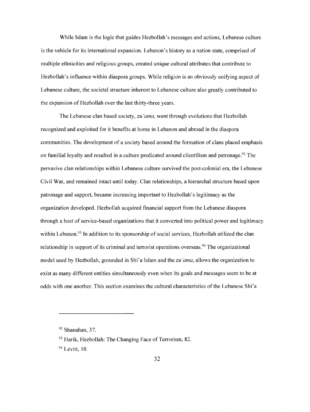While Islam is the logic that guides Hezbollah's messages and actions, Lebanese culture is the vehicle for its international expansion. Lebanon's history as a nation state, comprised of multiple ethnicities and religious groups, created unique cultural attributes that contribute to Hezbollah's influence within diaspora groups. While religion is an obviously unifying aspect of Lebanese culture, the societal structure inherent to Lebanese culture also greatly contributed to the expansion of Hezbollah over the last thirty-three years.

The Lebanese clan based society, *zu 'ama,* went through evolutions that Hezbollah recognized and exploited for it benefits at home in Lebanon and abroad in the diaspora communities. The development of a society based around the formation of clans placed emphasis on familial loyalty and resulted in a culture predicated around clientilism and patronage.<sup>92</sup> The pervasive clan relationships within Lebanese culture survived the post-colonial era, the Lebanese Civil War, and remained intact until today. Clan relationships, a hierarchal structure based upon patronage and support, became increasing important to Hezbollah's legitimacy as the organization developed. Hezbollah acquired financial support from the Lebanese diaspora through a host of service-based organizations that it converted into political power and legitimacy within Lebanon.<sup>93</sup> In addition to its sponsorship of social services, Hezbollah utilized the clan relationship in support of its criminal and terrorist operations overseas.<sup>94</sup> The organizational model used by Hezbollah, grounded in Shi'a Islam and the *zu 'ama,* allows the organization to exist as many different entities simultaneously even when its goals and messages seem to be at odds with one another. This section examines the cultural characteristics of the Lebanese Shi'a

 $92$  Shanahan, 37.

 $93$  Harik, Hezbollah: The Changing Face of Terrorism, 82.

<sup>&</sup>lt;sup>94</sup> Levitt, 10.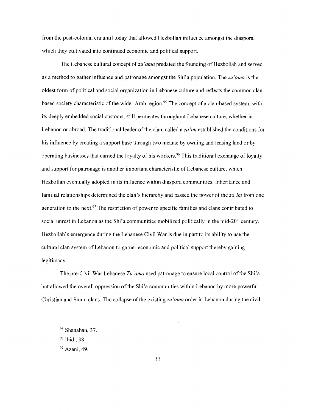from the post-colonial era until today that allowed Hezbollah influence amongst the diaspora, which they cultivated into continued economic and political support.

The Lebanese cultural concept of *zu 'ama* predated the founding of Hezbollah and served as a method to gather influence and patronage amongst the Shi'a population. The *zu 'ama* is the oldest form of political and social organization in Lebanese culture and reflects the common clan based society characteristic of the wider Arab region.<sup>95</sup> The concept of a clan-based system, with its deeply embedded social customs, still permeates throughout Lebanese culture, whether in Lebanon or abroad. The traditional leader of the clan, called a *za 'im* established the conditions for his influence by creating a support base through two means: by owning and leasing land or by operating businesses that earned the loyalty of his workers.<sup>96</sup> This traditional exchange of loyalty and support for patronage is another important characteristic of Lebanese culture, which Hezbollah eventually adopted in its influence within diaspora communities. Inheritance and familial relationships determined the clan's hierarchy and passed the power ofthe *za 'im* from one generation to the next.<sup>97</sup> The restriction of power to specific families and clans contributed to social unrest in Lebanon as the Shi'a communities mobilized politically in the mid-20<sup>th</sup> century. Hezbollah's emergence during the Lebanese Civil War is due in part to its ability to use the cultural clan system of Lebanon to garner economic and political support thereby gaining legitimacy.

The pre-Civil War Lebanese *Zu'ama* used patronage to ensure local control of the Shi'a but allowed the overall oppression of the Shi'a communities within Lebanon by more powerful Christian and Sunni clans. The collapse of the existing *zu'ama* order in Lebanon during the civil

<sup>&</sup>lt;sup>95</sup> Shanahan, 37.

<sup>96</sup> Ibid., 38.

<sup>97</sup> Azani, 49.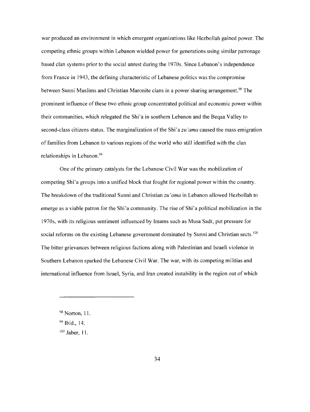war produced an environment in which emergent organizations like Hezbollah gained power. The competing ethnic groups within Lebanon wielded power for generations using similar patronage based clan systems prior to the social unrest during the 1970s. Since Lebanon's independence from France in 1943, the defining characteristic of Lebanese politics was the compromise between Sunni Muslims and Christian Maronite clans in a power sharing arrangement.<sup>98</sup> The prominent influence ofthese two ethnic group concentrated political and economic power within their communities, which relegated the Shi'a in southern Lebanon and the Beqaa Valley to second-class citizens status. The marginalization ofthe *Shi'azu'ama* caused the mass emigration of families from Lebanon to various regions ofthe world who still identified with the clan relationships in Lebanon.<sup>99</sup>

One of the primary catalysts for the Lebanese Civil War was the mobilization of competing Shi'a groups into a unified block that fought for regional power within the country. The breakdown ofthe traditional Sunni and Christian *zu 'amain* Lebanon allowed Hezbollah to emerge as a viable patron for the Shi'a community. The rise of Shi'a political mobilization in the 1970s, with its religious sentiment influenced by Imams such as Musa Sadr, put pressure for social reforms on the existing Lebanese government dominated by Sunni and Christian sects.<sup>100</sup> The bitter grievances between religious factions along with Palestinian and Israeli violence in Southern Lebanon sparked the Lebanese Civil War. The war, with its competing militias and international influence from Israel, Syria, and Iran created instability in the region out of which

<sup>98</sup> Norton, 11.

<sup>99</sup> Ibid., 14.

<sup>100</sup> Jaber, 11.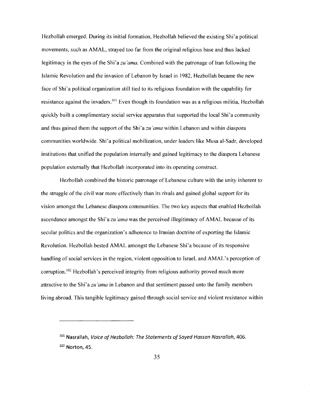Hezbollah emerged. During its initial formation, Hezbollah believed the existing Shi'a political movements, such as AMAL, strayed too far from the original religious base and thus lacked legitimacy in the eyes of the Shi'a *zu 'ama.* Combined with the patronage of Iran following the Islamic Revolution and the invasion of Lebanon by Israel in 1982, Hezbollah became the new face of Shi'a political organization still tied to its religious foundation with the capability for resistance against the invaders. 101 Even though its foundation was as a religious militia, Hezbollah quickly built a complimentary social service apparatus that supported the local Shi'a community and thus gained them the support of the Shi' a *zu 'ama* within Lebanon and within diaspora communities worldwide. Shi'a political mobilization, under leaders like Musa al-Sadr, developed institutions that unified the population internally and gained legitimacy to the diaspora Lebanese population externally that Hezbollah incorporated into its operating construct.

Hezbollah combined the historic patronage of Lebanese culture with the unity inherent to the struggle of the civil war more effectively than its rivals and gained global support for its vision amongst the Lebanese diaspora communities. The two key aspects that enabled Hezbollah ascendance amongst the Shi'a *zu 'ama* was the perceived illegitimacy of AMAL because of its secular politics and the organization's adherence to Iranian doctrine of exporting the Islamic Revolution. Hezbollah bested AMAL amongst the Lebanese Shi'a because of its responsive handling of social services in the region, violent opposition to Israel, and AMAL's perception of corruption.<sup>102</sup> Hezbollah's perceived integrity from religious authority proved much more attractive to the Shi'a *zu 'amain* Lebanon and that sentiment passed unto the family members living abroad. This tangible legitimacy gained through social service and violent resistance within

 $101$  Nasrallah, Voice of Hezbollah: The Statements of Sayed Hassan Nasrallah, 406.  $102$  Norton, 45.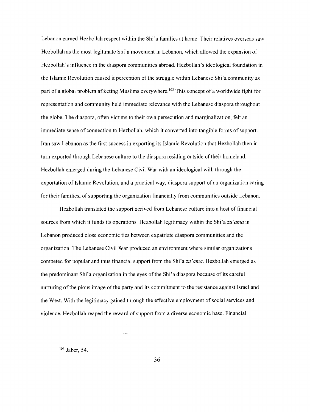Lebanon earned Hezbollah respect within the Shi'a families at home. Their relatives overseas saw Hezbollah as the most legitimate Shi'a movement in Lebanon, which allowed the expansion of Hezbollah's influence in the diaspora communities abroad. Hezbollah's ideological foundation in the Islamic Revolution caused it perception of the struggle within Lebanese Shi'a community as part of a global problem affecting Muslims everywhere.<sup>103</sup> This concept of a worldwide fight for representation and community held immediate relevance with the Lebanese diaspora throughout the globe. The diaspora, often victims to their own persecution and marginalization, felt an immediate sense of connection to Hezbollah, which it converted into tangible forms of support. Iran saw Lebanon as the first success in exporting its Islamic Revolution that Hezbollah then in tum exported through Lebanese culture to the diaspora residing outside oftheir homeland. Hezbollah emerged during the Lebanese Civil War with an ideological will, through the exportation of Islamic Revolution, and a practical way, diaspora support of an organization caring for their families, of supporting the organization financially from communities outside Lebanon.

Hezbollah translated the support derived from Lebanese culture into a host of financial sources from which it funds its operations. Hezbollah legitimacy within the *Shi'azu'ama* in Lebanon produced close economic ties between expatriate diaspora communities and the organization. The Lebanese Civil War produced an environment where similar organizations competed for popular and thus financial support from the Shi'a *zu 'ama.* Hezbollah emerged as the predominant Shi'a organization in the eyes ofthe Shi'a diaspora because of its careful nurturing of the pious image of the party and its commitment to the resistance against Israel and the West. With the legitimacy gained through the effective employment of social services and violence, Hezbollah reaped the reward of support from a diverse economic base. Financial

103 Jaber, 54.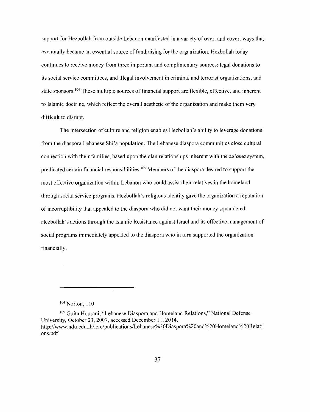support for Hezbollah from outside Lebanon manifested in a variety of overt and covert ways that eventually became an essential source of fundraising for the organization. Hezbollah today continues to receive money from three important and complimentary sources: legal donations to its social service committees, and illegal involvement in criminal and terrorist organizations, and state sponsors.<sup>104</sup> These multiple sources of financial support are flexible, effective, and inherent to Islamic doctrine, which reflect the overall aesthetic of the organization and make them very difficult to disrupt.

The intersection of culture and religion enables Hezbollah's ability to leverage donations from the diaspora Lebanese Shi'a population. The Lebanese diaspora communities close cultural connection with their families, based upon the clan relationships inherent with the *zu 'ama* system, predicated certain financial responsibilities.<sup>105</sup> Members of the diaspora desired to support the most effective organization within Lebanon who could assist their relatives in the homeland through social service programs. Hezbollah's religious identity gave the organization a reputation of incorruptibility that appealed to the diaspora who did not want their money squandered. Hezbollah's actions through the Islamic Resistance against Israel and its effective management of social programs immediately appealed to the diaspora who in tum supported the organization financially.

104 Norton, 110

105 Guita Hourani, "Lebanese Diaspora and Homeland Relations," National Defense University, October 23, 2007, accessed December 11, 2014, http://www.ndu.edu.lb/lerc/publications/Lebanese%20Diaspora%20and%20Homeland%20Relati ons.pdf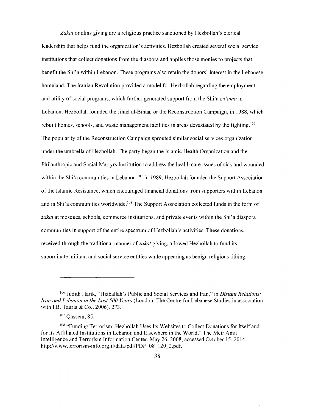Zakat or alms giving are a religious practice sanctioned by Hezbollah's clerical leadership that helps fund the organization's activities. Hezbollah created several social service institutions that collect donations from the diaspora and applies those monies to projects that benefit the Shi'a within Lebanon. These programs also retain the donors' interest in the Lebanese homeland. The Iranian Revolution provided a model for Hezbollah regarding the employment and utility of social programs, which further generated support from the Shi'a *zu 'amain*  Lebanon. Hezbollah founded the Jihad al-Binaa, or the Reconstruction Campaign, in 1988, which rebuilt homes, schools, and waste management facilities in areas devastated by the fighting. 106 The popularity of the Reconstruction Campaign sprouted similar social services organization under the umbrella of Hezbollah. The party began the Islamic Health Organization and the Philanthropic and Social Martyrs Institution to address the health care issues of sick and wounded within the Shi'a communities in Lebanon.<sup>107</sup> In 1989, Hezbollah founded the Support Association of the Islamic Resistance, which encouraged financial donations from supporters within Lebanon and in Shi'a communities worldwide.<sup>108</sup> The Support Association collected funds in the form of *zakat* at mosques, schools, commerce institutions, and private events within the Shi'a diaspora communities in support of the entire spectrum of Hezbollah's activities. These donations, received through the traditional manner of*zakat* giving, allowed Hezbollah to fund its subordinate militant and social service entities while appearing as benign religious tithing.

<sup>106</sup> Judith Harik, "Hizballah's Public and Social Services and Iran," in *Distant Relations: Iran and Lebanon in the Last 500 Years* (London: The Centre for Lebanese Studies in association with l.B. Tauris & Co., 2006), 273.

<sup>107</sup> Qassem, 85.

<sup>108 &</sup>quot;Funding Terrorism: Hezbollah Uses Its Websites to Collect Donations for Itself and for Its Affiliated Institutions in Lebanon and Elsewhere in the World," The Meir Amit Intelligence and Terrorism Information Center, May 26, 2008, accessed October 15, 2014, http://www.terrorism-info.org.il/data/pdf/PDF\_08\_120\_2.pdf.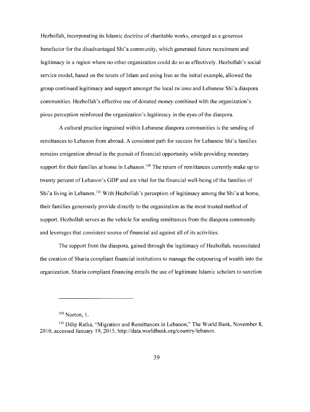Hezbollah, incorporating its Islamic doctrine of charitable works, emerged as a generous benefactor for the disadvantaged Shi'a community, which generated future recruitment and legitimacy in a region where no other organization could do so as effectively. Hezbollah's social service model, based on the tenets of Islam and using Iran as the initial example, allowed the group continued legitimacy and support amongst the local *zu 'ama* and Lebanese Shi'a diaspora communities. Hezbollah's effective use of donated money combined with the organization's pious perception reinforced the organization's legitimacy in the eyes of the diaspora.

A cultural practice ingrained within Lebanese diaspora communities is the sending of remittances to Lebanon from abroad. A consistent path for success for Lebanese Shi'a families remains emigration abroad in the pursuit of financial opportunity while providing monetary support for their families at home in Lebanon.<sup>109</sup> The return of remittances currently make up to twenty percent of Lebanon's GDP and are vital for the financial well-being of the families of Shi'a living in Lebanon.<sup>110</sup> With Hezbollah's perception of legitimacy among the Shi'a at home, their families generously provide directly to the organization as the most trusted method of support. Hezbollah serves as the vehicle for sending remittances from the diaspora community and leverages that consistent source of financial aid against all of its activities.

The support from the diaspora, gained through the legitimacy of Hezbollah, necessitated the creation of Sharia compliant financial institutions to manage the outpouring of wealth into the organization. Sharia compliant financing entails the use of legitimate Islamic scholars to sanction

<sup>&</sup>lt;sup>109</sup> Norton, 1.

<sup>&</sup>lt;sup>110</sup> Dilip Ratha, "Migration and Remittances in Lebanon," The World Bank, November 8, 2010, accessed January 19, 2015, http://data.worldbank.org/country/lebanon.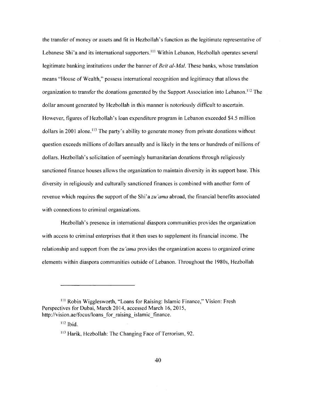the transfer of money or assets and fit in Hezbollah' s function as the legitimate representative of Lebanese Shi'a and its international supporters.<sup>111</sup> Within Lebanon, Hezbollah operates several legitimate banking institutions under the banner of *Beit al-Mal.* These banks, whose translation means "House of Wealth," possess international recognition and legitimacy that allows the organization to transfer the donations generated by the Support Association into Lebanon. 112 The dollar amount generated by Hezbollah in this manner is notoriously difficult to ascertain. However, figures of Hezbollah's loan expenditure program in Lebanon exceeded \$4.5 million dollars in 2001 alone.<sup>113</sup> The party's ability to generate money from private donations without question exceeds millions of dollars annually and is likely in the tens or hundreds of millions of dollars. Hezbollah 's solicitation of seemingly humanitarian donations through religiously sanctioned finance houses allows the organization to maintain diversity in its support base. This diversity in religiously and culturally sanctioned finances is combined with another form of revenue which requires the support of the *Shi'azu'ama* abroad, the financial benefits associated with connections to criminal organizations.

Hezbollah's presence in international diaspora communities provides the organization with access to criminal enterprises that it then uses to supplement its financial income. The relationship and support from the *zu 'ama* provides the organization access to organized crime elements within diaspora communities outside of Lebanon. Throughout the 1980s, Hezbollah

<sup>111</sup>Robin Wigglesworth, "Loans for Raising: Islamic Finance," Vision: Fresh Perspectives for Dubai, March 2014, accessed March 16, 2015, http://vision.ae/focus/loans for raising islamic finance.

 $112$  Ibid.

<sup>&</sup>lt;sup>113</sup> Harik, Hezbollah: The Changing Face of Terrorism, 92.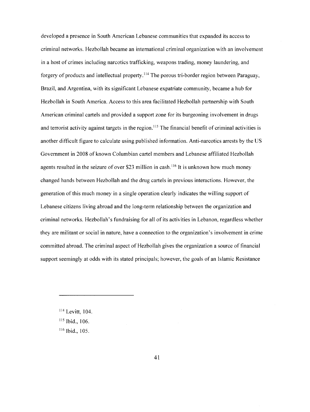developed a presence in South American Lebanese communities that expanded its access to criminal networks. Hezbollah became an international criminal organization with an involvement in a host of crimes including narcotics trafficking, weapons trading, money laundering, and forgery of products and intellectual property. 114 The porous tri-border region between Paraguay, Brazil, and Argentina, with its significant Lebanese expatriate community, became a hub for Hezbollah in South America. Access to this area facilitated Hezbollah partnership with South American criminal cartels and provided a support zone for its burgeoning involvement in drugs and terrorist activity against targets in the region.<sup>115</sup> The financial benefit of criminal activities is another difficult figure to calculate using published information. Anti-narcotics arrests by the US Government in 2008 of known Columbian cartel members and Lebanese affiliated Hezbollah agents resulted in the seizure of over \$23 million in cash.<sup>116</sup> It is unknown how much money changed hands between Hezbollah and the drug cartels in previous interactions. However, the generation of this much money in a single operation clearly indicates the willing support of Lebanese citizens living abroad and the long-term relationship between the organization and criminal networks. Hezbollah's fundraising for all of its activities in Lebanon, regardless whether they are militant or social in nature, have a connection to the organization's involvement in crime committed abroad. The criminal aspect of Hezbollah gives the organization a source of financial support seemingly at odds with its stated principals; however, the goals of an Islamic Resistance

<sup>&</sup>lt;sup>114</sup> Levitt, 104.

<sup>&</sup>lt;sup>115</sup> Ibid., 106.

<sup>&</sup>lt;sup>116</sup> Ibid., 105.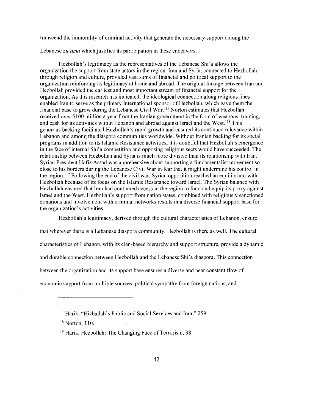transcend the immorality of criminal activity that generate the necessary support among the

Lebanese *zu 'ama* which justifies its participation in these endeavors.

Hezbollah's legitimacy as the representatives of the Lebanese Shi'a allows the organization the support from state actors in the region. Iran and Syria, connected to Hezbollah through religion and culture, provided vast sums of financial and political support to the organization reinforcing its legitimacy at home and abroad. The original linkage between Iran and Hezbollah provided the earliest and most important stream of financial support for the organization. As this research has indicated, the ideological connection along religious lines enabled Iran to serve as the primary international sponsor of Hezbollah, which gave them the financial base to grow during the Lebanese Civil War.<sup>117</sup> Norton estimates that Hezbollah received over \$100 million a year from the Iranian government in the form of weapons, training, and cash for its activities within Lebanon and abroad against Israel and the West.<sup>118</sup> This generous backing facilitated Hezbollah's rapid growth and ensured its continued relevance within Lebanon and among the diaspora communities worldwide. Without Iranian backing for its social programs in addition to its Islamic Resistance activities, it is doubtful that Hezbollah's emergence in the face of internal Shi'a competition and opposing religious sects would have succeeded. The relationship between Hezbollah and Syria is much more divisive than its relationship with Iran. Syrian President Hafiz Assad was apprehensive about supporting a fundamentalist movement so close to his borders during the Lebanese Civil War in fear that it might undermine his control in the region.  $19$  Following the end of the civil war, Syrian opposition reached an equilibrium with Hezbollah because of its focus on the Islamic Resistance toward Israel. The Syrian balance with Hezbollah ensured that Iran had continued access in the region to fund and equip its proxy against Israel and the West. Hezbollah 's support from nation states, combined with religiously sanctioned donations and involvement with criminal networks results in a diverse financial support base for the organization's activities.

Hezbollah's legitimacy, derived through the cultural characteristics of Lebanon, ensure that wherever there is a Lebanese diaspora community, Hezbollah is there as well. The cultural characteristics of Lebanon, with its clan-based hierarchy and support structure, provide a dynamic and durable connection between Hezbollah and the Lebanese Shi'a diaspora. This connection between the organization and its support base ensures a diverse and near constant flow of economic support from multiple sources, political sympathy from foreign nations, and

<sup>&</sup>lt;sup>117</sup> Harik, "Hizballah's Public and Social Services and Iran," 259.

<sup>&</sup>lt;sup>118</sup> Norton, 110.

<sup>&</sup>lt;sup>119</sup> Harik, Hezbollah: The Changing Face of Terrorism, 38.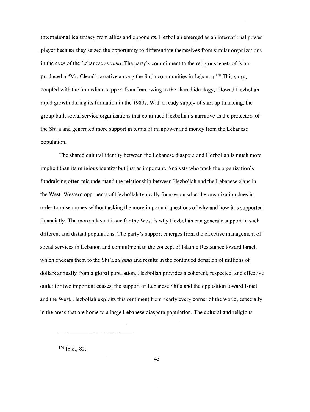international legitimacy from allies and opponents. Hezbollah emerged as an international power . player because they seized the opportunity to differentiate themselves from similar organizations in the eyes of the Lebanese *zu 'ama.* The party's commitment to the religious tenets of Islam produced a "Mr. Clean" narrative among the Shi'a communities in Lebanon.<sup>120</sup> This story, coupled with the immediate support from Iran owing to the shared ideology, allowed Hezbollah rapid growth during its formation in the 1980s. With a ready supply of start up financing, the group built social service organizations that continued Hezbollah's narrative as the protectors of the Shi'a and generated more support in terms of manpower and money from the Lebanese population.

The shared cultural identity between the Lebanese diaspora and Hezbollah is much more implicit than its religious identity but just as important. Analysts who track the organization's fundraising often misunderstand the relationship between Hezbollah and the Lebanese clans in the West. Western opponents of Hezbollah typically focuses on what the organization does in order to raise money without asking the more important questions of why and how it is supported financially. The more relevant issue for the West is why Hezbollah can generate support in such different and distant populations. The party's support emerges from the effective management of social services in Lebanon and commitment to the concept of Islamic Resistance toward Israel, which endears them to the *Shi'azu'ama* and results in the continued donation of millions of dollars annually from a global population. Hezbollah provides a coherent, respected, and effective outlet for two important causes; the support of Lebanese Shi'a and the opposition toward Israel and the West. Hezbollah exploits this sentiment from nearly every corner of the world, especially in the areas that are home to a large Lebanese diaspora population. The cultural and religious

120 Ibid., 82.

43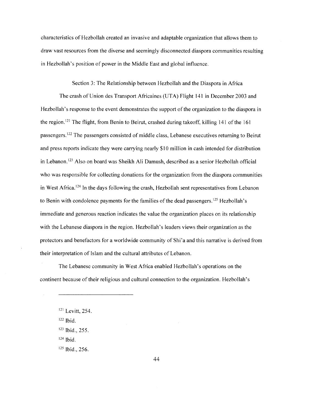characteristics of Hezbollah created an invasive and adaptable organization that allows them to draw vast resources from the diverse and seemingly disconnected diaspora communities resulting in Hezbollah's position of power in the Middle East and global influence.

Section 3: The Relationship between Hezbollah and the Diaspora in Africa

The crash of Union des Transport Africaines (UTA) Flight 141 in December 2003 and Hezbollah's response to the event demonstrates the support of the organization to the diaspora in the region.<sup> $121$ </sup> The flight, from Benin to Beirut, crashed during takeoff, killing 141 of the 161 passengers. 122 The passengers consisted of middle class, Lebanese executives returning to Beirut and press reports indicate they were carrying nearly \$10 million in cash intended for distribution in Lebanon. 123 Also on board was Sheikh Ali Damush, described as a senior Hezbollah official who was responsible for collecting donations for the organization from the diaspora communities in West Africa.<sup>124</sup> In the days following the crash, Hezbollah sent representatives from Lebanon to Benin with condolence payments for the families of the dead passengers.<sup>125</sup> Hezbollah's immediate and generous reaction indicates the value the organization places on its relationship with the Lebanese diaspora in the region. Hezbollah's leaders views their organization as the protectors and benefactors for a worldwide community of Shi'a and this narrative is derived from their interpretation of Islam and the cultural attributes of Lebanon.

The Lebanese community in West Africa enabled Hezbollah's operations on the continent because of their religious and cultural connection to the organization. Hezbollah's

122 Ibid.

124 Ibid.

125 Ibid., 256.

<sup>121</sup> Levitt, 254.

<sup>123</sup> Ibid., 255.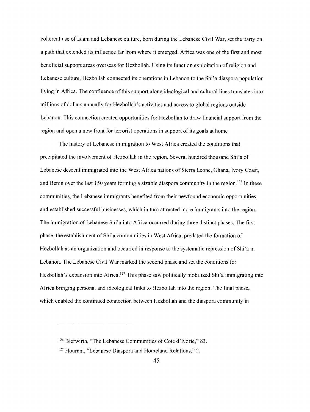coherent use of Islam and Lebanese culture, born during the Lebanese Civil War, set the party on a path that extended its influence far from where it emerged. Africa was one of the first and most beneficial support areas overseas for Hezbollah. Using its function exploitation of religion and Lebanese culture, Hezbollah connected its operations in Lebanon to the Shi'a diaspora population living in Africa. The confluence of this support along ideological and cultural lines translates into millions of dollars annually for Hezbollah's activities and access to global regions outside Lebanon. This connection created opportunities for Hezbollah to draw financial support from the region and open a new front for terrorist operations in support of its goals at home

The history of Lebanese immigration to West Africa created the conditions that precipitated the involvement of Hezbollah in the region. Several hundred thousand Shi'a of Lebanese descent immigrated into the West Africa nations of Sierra Leone, Ghana, Ivory Coast, and Benin over the last 150 years forming a sizable diaspora community in the region.<sup>126</sup> In these communities, the Lebanese immigrants benefited from their newfound economic opportunities and established successful businesses, which in tum attracted more immigrants into the region. The immigration of Lebanese Shi'a into Africa occurred during three distinct phases. The first phase, the establishment of Shi'a communities in West Africa, predated the formation of Hezbollah as an organization and occurred in response to the systematic repression of Shi'a in Lebanon. The Lebanese Civil War marked the second phase and set the conditions for Hezbollah's expansion into Africa.<sup>127</sup> This phase saw politically mobilized Shi'a immigrating into Africa bringing personal and ideological links to Hezbollah into the region. The final phase, which enabled the continued connection between Hezbollah and the diaspora community in

<sup>&</sup>lt;sup>126</sup> Bierwirth, "The Lebanese Communities of Cote d'Ivorie," 83.

<sup>&</sup>lt;sup>127</sup> Hourani, "Lebanese Diaspora and Homeland Relations," 2.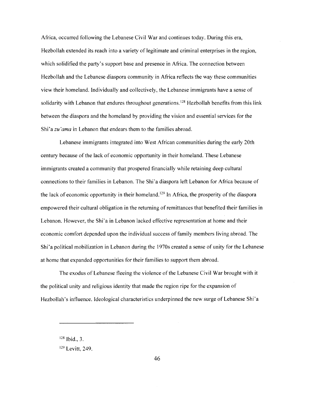Africa, occurred following the Lebanese Civil War and continues today. During this era, Hezbollah extended its reach into a variety of legitimate and criminal enterprises in the region, which solidified the party's support base and presence in Africa. The connection between Hezbollah and the Lebanese diaspora community in Africa reflects the way these communities view their homeland. Individually and collectively, the Lebanese immigrants have a sense of solidarity with Lebanon that endures throughout generations.<sup>128</sup> Hezbollah benefits from this link between the diaspora and the homeland by providing the vision and essential services for the *Shi'azu'ama* in Lebanon that endears them to the families abroad.

Lebanese immigrants integrated into West African communities during the early 20th century because ofthe lack of economic opportunity in their homeland. These Lebanese immigrants created a community that prospered financially while retaining deep cultural connections to their families in Lebanon. The Shi'a diaspora left Lebanon for Africa because of the lack of economic opportunity in their homeland.<sup>129</sup> In Africa, the prosperity of the diaspora empowered their cultural obligation in the returning of remittances that benefited their families in Lebanon. However, the Shi'a in Lebanon lacked effective representation at home and their economic comfort depended upon the individual success of family members living abroad. The Shi' a political mobilization in Lebanon during the 1970s created a sense of unity for the Lebanese at home that expanded opportunities for their families to support them abroad.

The exodus of Lebanese fleeing the violence of the Lebanese Civil War brought with it the political unity and religious identity that made the region ripe for the expansion of Hezbollah's influence. Ideological characteristics underpinned the new surge of Lebanese Shi'a

<sup>128</sup> Ibid., 3.

<sup>&</sup>lt;sup>129</sup> Levitt, 249.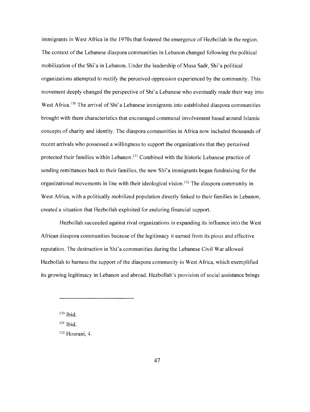immigrants in West Africa in the 1970s that fostered the emergence of Hezbollah in the region. The context of the Lebanese diaspora communities in Lebanon changed following the political mobilization ofthe Shi'a in Lebanon. Under the leadership of Musa Sadr, Shi'a political organizations attempted to rectify the perceived oppression experienced by the community. This movement deeply changed the perspective of Shi'a Lebanese who eventually made their way into West Africa.<sup>130</sup> The arrival of Shi'a Lebanese immigrants into established diaspora communities brought with them characteristics that encouraged communal involvement based around Islamic concepts of charity and identity. The diaspora communities in Africa now included thousands of recent arrivals who possessed a willingness to support the organizations that they perceived protected their families within Lebanon. 131 Combined with the historic Lebanese practice of sending remittances back to their families, the new Shi'a immigrants began fundraising for the organizational movements in line with their ideological vision. 132 The diaspora community in West Africa, with a politically mobilized population directly linked to their families in Lebanon, created a situation that Hezbollah exploited for enduring financial support.

Hezbollah succeeded against rival organizations in expanding its influence into the West African diaspora communities because of the legitimacy it earned from its pious and effective reputation. The destruction in Shi'a communities during the Lebanese Civil War allowed Hezbollah to harness the support of the diaspora community in West Africa, which exemplified its growing legitimacy in Lebanon and abroad. Hezbollah's provision of social assistance brings

<sup>130</sup> Ibid.

<sup>131</sup> Ibid.

<sup>132</sup> Hourani, 4.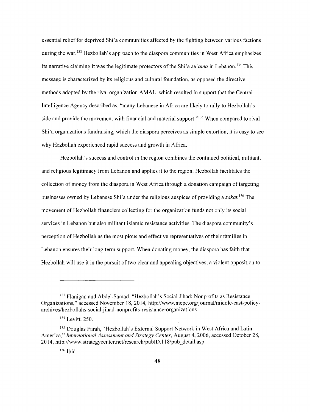essential relief for deprived Shi'a communities affected by the fighting between various factions during the war.<sup>133</sup> Hezbollah's approach to the diaspora communities in West Africa emphasizes its narrative claiming it was the legitimate protectors ofthe Shi'a *zu 'amain* Lebanon. 134 This message is characterized by its religious and cultural foundation, as opposed the directive methods adopted by the rival organization AMAL, which resulted in support that the Central Intelligence Agency described as, "many Lebanese in Africa are likely to rally to Hezbollah's side and provide the movement with financial and material support."<sup>135</sup> When compared to rival Shi'a organizations fundraising, which the diaspora perceives as simple extortion, it is easy to see why Hezbollah experienced rapid success and growth in Africa.

Hezbollah's success and control in the region combines the continued political, militant, and religious legitimacy from Lebanon and applies it to the region. Hezbollah facilitates the collection of money from the diaspora in West Africa through a donation campaign of targeting businesses owned by Lebanese Shi' a under the religious auspices of providing a *zakat.* 136 The movement of Hezbollah financiers collecting for the organization funds not only its social services in Lebanon but also militant Islamic resistance activities. The diaspora community's perception of Hezbollah as the most pious and effective representatives oftheir families in Lebanon ensures their long-term support. When donating money, the diaspora has faith that Hezbollah will use it in the pursuit of two clear and appealing objectives; a violent opposition to

<sup>&</sup>lt;sup>133</sup> Flanigan and Abdel-Samad, "Hezbollah's Social Jihad: Nonprofits as Resistance Organizations," accessed November 18, 2014, http://www.mepc.org/joumal/middle-east-policyarchives/hezbollahs-social-jihad-nonprofits-resistance-organizations

<sup>134</sup> Levitt, 250.

<sup>135</sup> Douglas Farah, "Hezbollah's External Support Network in West Africa and Latin America," *International Assessment and Strategy Center,* August 4, 2006, accessed October 28, 2014, http://www.strategycenter.net/research/pubID. l l 8/pub \_detail.asp

<sup>136</sup> Ibid.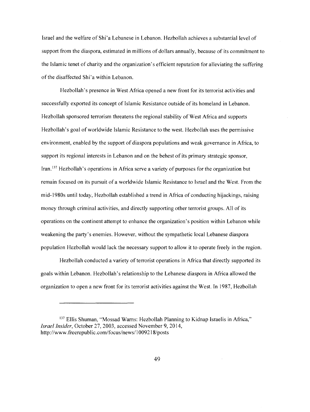Israel and the welfare of Shi' a Lebanese in Lebanon. Hezbollah achieves a substantial level of support from the diaspora, estimated in millions of dollars annually, because of its commitment to the Islamic tenet of charity and the organization's efficient reputation for alleviating the suffering of the disaffected Shi'a within Lebanon.

Hezbollah's presence in West Africa opened a new front for its terrorist activities and successfully exported its concept of Islamic Resistance outside of its homeland in Lebanon. Hezbollah sponsored terrorism threatens the regional stability of West Africa and supports Hezbollah's goal of worldwide Islamic Resistance to the west. Hezbollah uses the permissive environment, enabled by the support of diaspora populations and weak governance in Africa, to support its regional interests in Lebanon and on the behest of its primary strategic sponsor, Iran.<sup>137</sup> Hezbollah's operations in Africa serve a variety of purposes for the organization but remain focused on its pursuit of a worldwide Islamic Resistance to Israel and the West. From the mid-l 980s until today, Hezbollah established a trend in Africa of conducting hijackings, raising money through criminal activities, and directly supporting other terrorist groups. All of its operations on the continent attempt to enhance the organization's position within Lebanon while weakening the party's enemies. However, without the sympathetic local Lebanese diaspora population Hezbollah would lack the necessary support to allow it to operate freely in the region.

Hezbollah conducted a variety of terrorist operations in Africa that directly supported its goals within Lebanon. Hezbollah's relationship to the Lebanese diaspora in Africa allowed the organization to open a new front for its terrorist activities against the West. In 1987, Hezbollah

<sup>&</sup>lt;sup>137</sup> Ellis Shuman, "Mossad Warns: Hezbollah Planning to Kidnap Israelis in Africa," *Israel Insider,* October 27, 2003, accessed November 9, 2014, http://www.freerepublic.com/focus/news/l 009218/posts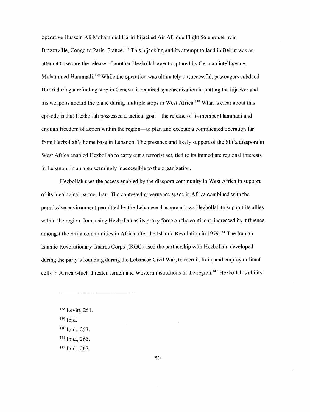operative Hussein Ali Mohammed Hariri hijacked Air Afrique Flight 56 enroute from Brazzaville, Congo to Paris, France.<sup>138</sup> This hijacking and its attempt to land in Beirut was an attempt to secure the release of another Hezbollah agent captured by German intelligence, Mohammed Hammadi.<sup>139</sup> While the operation was ultimately unsuccessful, passengers subdued Hariri during a refueling stop in Geneva, it required synchronization in putting the hijacker and his weapons aboard the plane during multiple stops in West Africa.<sup>140</sup> What is clear about this episode is that Hezbollah possessed a tactical goal—the release of its member Hammadi and enough freedom of action within the region-to plan and execute a complicated operation far from Hezbollah's home base in Lebanon. The presence and likely support of the Shi'a diaspora in West Africa enabled Hezbollah to carry out a terrorist act, tied to its immediate regional interests in Lebanon, in an area seemingly inaccessible to the organization.

Hezbollah uses the access enabled by the diaspora community in West Africa in support of its ideological partner Iran. The contested governance space in Africa combined with the permissive environment permitted by the Lebanese diaspora allows Hezbollah to support its allies within the region. Iran, using Hezbollah as its proxy force on the continent, increased its influence amongst the Shi'a communities in Africa after the Islamic Revolution in 1979.<sup>141</sup> The Iranian Islamic Revolutionary Guards Corps (IRGC) used the partnership with Hezbollah, developed during the party's founding during the Lebanese Civil War, to recruit, train, and employ militant cells in Africa which threaten Israeli and Western institutions in the region. 142 Hezbollah's ability

- 139 Ibid.
- 140 Ibid., 253.
- 141 Ibid., 265.
- 142 Ibid., 267.

<sup>138</sup> Levitt, 251.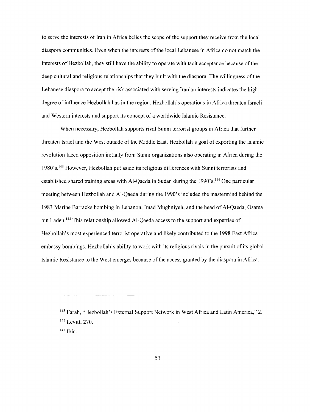to serve the interests of Iran in Africa belies the scope of the support they receive from the local diaspora communities. Even when the interests of the local Lebanese in Africa do not match the interests of Hezbollah, they still have the ability to operate with tacit acceptance because ofthe deep cultural and religious relationships that they built with the diaspora. The willingness of the Lebanese diaspora to accept the risk associated with serving Iranian interests indicates the high degree of influence Hezbollah has in the region. Hezbollah' s operations in Africa threaten Israeli and Western interests and support its concept of a worldwide Islamic Resistance.

When necessary, Hezbollah supports rival Sunni terrorist groups in Africa that further threaten Israel and the West outside ofthe Middle East. Hezbollah's goal of exporting the Islamic revolution faced opposition initially from Sunni organizations also operating in Africa during the 1980's.<sup>143</sup> However, Hezbollah put aside its religious differences with Sunni terrorists and established shared training areas with Al-Qaeda in Sudan during the 1990's.<sup>144</sup> One particular meeting between Hezbollah and Al-Qaeda during the 1990's included the mastermind behind the 1983 Marine Barracks bombing in Lebanon, Imad Mughniyeh, and the head of Al-Qaeda, Osama bin Laden.<sup>145</sup> This relationship allowed Al-Qaeda access to the support and expertise of Hezbollah's most experienced terrorist operative and likely contributed to the 1998 East Africa embassy bombings. Hezbollah's ability to work with its religious rivals in the pursuit of its global Islamic Resistance to the West emerges because of the access granted by the diaspora in Africa.

<sup>&</sup>lt;sup>143</sup> Farah, "Hezbollah's External Support Network in West Africa and Latin America," 2. 144 Levitt, 270. 145 Ibid.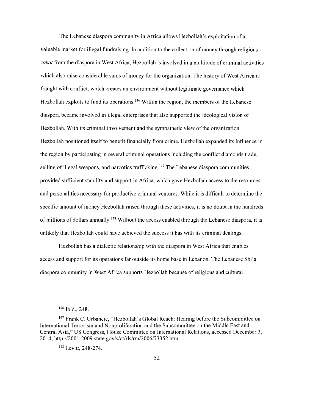The Lebanese diaspora community in Africa allows Hezbollah's exploitation of a valuable market for illegal fundraising. In addition to the collection of money through religious *zakat* from the diaspora in West Africa, Hezbollah is involved in a multitude of criminal activities which also raise considerable sums of money for the organization. The history of West Africa is fraught with conflict, which creates an environment without legitimate governance which Hezbollah exploits to fund its operations.<sup>146</sup> Within the region, the members of the Lebanese diaspora became involved in illegal enterprises that also supported the ideological vision of Hezbollah. With its criminal involvement and the sympathetic view of the organization, Hezbollah positioned itself to benefit financially from crime. Hezbollah expanded its influence in the region by participating in several criminal operations including the conflict diamonds trade, selling of illegal weapons, and narcotics trafficking.<sup>147</sup> The Lebanese diaspora communities provided sufficient stability and support in Africa, which gave Hezbollah access to the resources and personalities necessary for productive criminal ventures. While it is difficult to determine the specific amount of money Hezbollah raised through these activities, it is no doubt in the hundreds of millions of dollars annually.<sup>148</sup> Without the access enabled through the Lebanese diaspora, it is unlikely that Hezbollah could have achieved the success it has with its criminal dealings.

Hezbollah has a dialectic relationship with the diaspora in West Africa that enables access and support for its operations far outside its home base in Lebanon. The Lebanese Shi'a diaspora community in West Africa supports Hezbollah because ofreligious and cultural

<sup>&</sup>lt;sup>146</sup> Ibid., 248.

<sup>&</sup>lt;sup>147</sup> Frank C. Urbancic, "Hezbollah's Global Reach: Hearing before the Subcommittee on International Terrorism and Nonproliferation and the Subcommittee on the Middle East and Central Asia," US Congress, House Committee on International Relations, accessed December 3, 2014, http://2001-2009.state.gov/s/ct/rls/rm/2006/73352.htm.

<sup>&</sup>lt;sup>148</sup> Levitt, 248-274.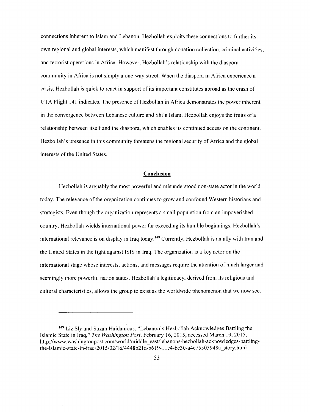connections inherent to Islam and Lebanon. Hezbollah exploits these connections to further its own regional and global interests, which manifest through donation collection, criminal activities, and terrorist operations in Africa. However, Hezbollah's relationship with the diaspora community in Africa is not simply a one-way street. When the diaspora in Africa experience a crisis, Hezbollah is quick to react in support of its important constitutes abroad as the crash of UTA Flight 141 indicates. The presence of Hezbollah in Africa demonstrates the power inherent in the convergence between Lebanese culture and Shi'a Islam. Hezbollah enjoys the fruits of a relationship between itself and the diaspora, which enables its continued access on the continent. Hezbollah's presence in this community threatens the regional security of Africa and the global interests of the United States.

# **Conclusion**

Hezbollah is arguably the most powerful and misunderstood non-state actor in the world today. The relevance of the organization continues to grow and confound Western historians and strategists. Even though the organization represents a small population from an impoverished country, Hezbollah wields international power far exceeding its humble beginnings. Hezbollah's international relevance is on display in Iraq today.<sup>149</sup> Currently, Hezbollah is an ally with Iran and the United States in the fight against ISIS in Iraq. The organization is a key actor on the international stage whose interests, actions, and messages require the attention of much larger and seemingly more powerful nation states. Hezbollah's legitimacy, derived from its religious and cultural characteristics, allows the group to exist as the worldwide phenomenon that we now see.

<sup>&</sup>lt;sup>149</sup> Liz Sly and Suzan Haidamous, "Lebanon's Hezbollah Acknowledges Battling the Islamic State in Iraq," *The Washington Post,* February 16, 2015, accessed March 19, 2015, http://www.washingtonpost.com/world/middle east/lebanons-hezbollah-acknowledges-battlingthe-islamic-state-in-iraq/2015/02/16/ 4448b21 a-b619-11 e4-bc30-a4e75503948a\_story.html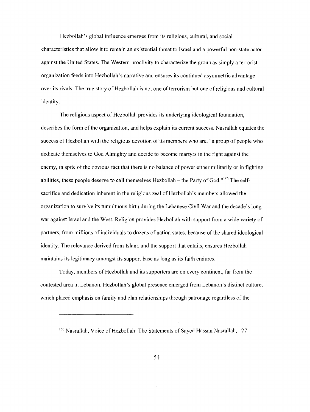Hezbollah's global influence emerges from its religious, cultural, and social characteristics that allow it to remain an existential threat to Israel and a powerful non-state actor against the United States. The Western proclivity to characterize the group as simply a terrorist organization feeds into Hezbollah's narrative and ensures its continued asymmetric advantage over its rivals. The true story of Hezbollah is not one of terrorism but one of religious and cultural identity.

The religious aspect of Hezbollah provides its underlying ideological foundation, describes the form of the organization, and helps explain its current success. Nasrallah equates the success of Hezbollah with the religious devotion of its members who are, "a group of people who dedicate themselves to God Almighty and decide to become martyrs in the fight against the enemy, in spite ofthe obvious fact that there is no balance of power either militarily or in fighting abilities, these people deserve to call themselves Hezbollah – the Party of God."<sup>150</sup> The selfsacrifice and dedication inherent in the religious zeal of Hezbollah's members allowed the organization to survive its tumultuous birth during the Lebanese Civil War and the decade's long war against Israel and the West. Religion provides Hezbollah with support from a wide variety of partners, from millions of individuals to dozens of nation states, because of the shared ideological identity. The relevance derived from Islam, and the support that entails, ensures Hezbollah maintains its legitimacy amongst its support base as long as its faith endures.

Today, members of Hezbollah and its supporters are on every continent, far from the contested area in Lebanon. Hezbollah's global presence emerged from Lebanon's distinct culture, which placed emphasis on family and clan relationships through patronage regardless of the

<sup>150</sup> Nasrallah, Voice of Hezbollah: The Statements of Sayed Hassan Nasrallah, 127.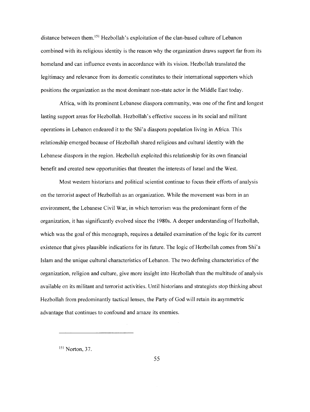distance between them. 151 Hezbollah's exploitation of the clan-based culture of Lebanon combined with its religious identity is the reason why the organization draws support far from its homeland and can influence events in accordance with its vision. Hezbollah translated the legitimacy and relevance from its domestic constitutes to their international supporters which positions the organization as the most dominant non-state actor in the Middle East today.

Africa, with its prominent Lebanese diaspora community, was one ofthe first and longest lasting support areas for Hezbollah. Hezbollah's effective success in its social and militant operations in Lebanon endeared it to the Shi'a diaspora population living in Africa. This relationship emerged because of Hezbollah shared religious and cultural identity with the Lebanese diaspora in the region. Hezbollah exploited this relationship for its own financial benefit and created new opportunities that threaten the interests of Israel and the West.

Most western historians and political scientist continue to focus their efforts of analysis on the terrorist aspect of Hezbollah as an organization. While the movement was born in an environment, the Lebanese Civil War, in which terrorism was the predominant form of the organization, it has significantly evolved since the 1980s. A deeper understanding of Hezbollah, which was the goal of this monograph, requires a detailed examination of the logic for its current existence that gives plausible indications for its future. The logic of Hezbollah comes from Shi'a Islam and the unique cultural characteristics of Lebanon. The two defining characteristics ofthe organization, religion and culture, give more insight into Hezbollah than the multitude of analysis available on its militant and terrorist activities. Until historians and strategists stop thinking about Hezbollah from predominantly tactical lenses, the Party of God will retain its asymmetric advantage that continues to confound and amaze its enemies.

151 Norton, 37.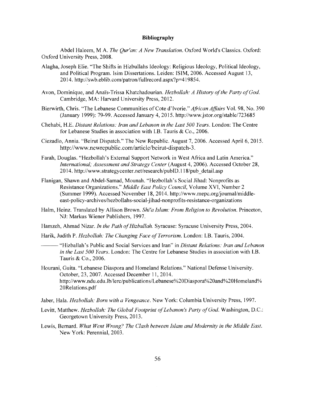#### **Bibliography**

Abdel Haleem, MA. *The Qur'an: A New Translation.* Oxford World's Classics. Oxford: Oxford University Press, 2008.

- Alagha, Joseph Elie. "The Shifts in Hizbullahs Ideology: Religious Ideology, Political Ideology, and Political Program. Isim Dissertations. Leiden: ISIM, 2006. Accessed August 13, 2014. http://swb.eblib.com/patron/fullrecord.aspx?p=419854.
- Avon, Dominique, and Anaïs-Trissa Khatchadourian. *Hezbollah: A History of the Party of God.* Cambridge, MA: Harvard University Press, 2012.
- Bierwirth, Chris. "The Lebanese Communities of Cote d'Ivorie." *African Affairs* Vol. 98, No. 390 (January 1999): 79-99. Accessed January 4, 2015. http://www.jstor.org/stable/723685
- Chehabi, H.E. *Distant Relations: Iran and Lebanon in the Last 500 Years.* London: The Centre for Lebanese Studies in association with I.B. Tauris & Co., 2006.
- Ciezadlo, Annia. "Beirut Dispatch." The New Republic. August 7, 2006. Accessed April 6, 2015. http://www.newrepublic.com/article/beirut-dispatch-3.
- Farah, Douglas. "Hezbollah's External Support Network in West Africa and Latin America." *International; Assessment and Strategy Center* (August 4, 2006). Accessed October 28, 2014. http://www.strategycenter.net/research/pubID.118/pub \_detail.asp
- Flanigan, Shawn and Abdel-Samad, Mounah. "Hezbollah's Social Jihad: Nonprofits as Resistance Organizations." *Middle East Policy Council,* Volume XVI, Number 2 (Summer 1999). Accessed November 18, 2014. http://www.mepc.org/journal/middleeast-policy-archives/hezbollahs-social-jihad-nonprofits-resistance-organizations
- Halm, Heinz. Translated by Allison Brown. *Shi'a Islam: From Religion to Revolution.* Princeton, NJ: Markus Wiener Publishers, 1997.
- Hamzeh, Ahmad Nizar. *In the Path of Hizbullah*. Syracuse: Syracuse University Press, 2004.
- Harik, Judith P. *Hezbollah: The Changing Face of Terrorism*. London: I.B. Tauris, 2004.
	- --- "Hizballah's Public and Social Services and Iran" in *Distant Relations: Iran and Lebanon in the Last 500 Years.* London: The Centre for Lebanese Studies in association with I.B. Tauris & Co., 2006.
- Hourani, Guita. "Lebanese Diaspora and Homeland Relations." National Defense University. October, 23, 2007. Accessed December 11, 2014. http://www.ndu.edu.lb/lerc/publications/Lebanese%20Diaspora%20and%20Homeland% 20Relations.pdf
- Jaber, Hala. *Hezbollah: Born with a Vengeance.* New York: Columbia University Press, 1997.
- Levitt, Matthew. *Hezbollah: The Global Footprint of Lebanon's Party of God.* Washington, D.C.: Georgetown University Press, 2013.
- Lewis, Bernard. *What Went Wrong? The Clash between Islam and Modernity in the Middle East.*  New York: Perennial, 2003.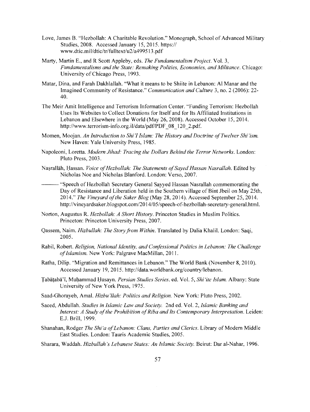- Love, James B. "Hezbollah: A Charitable Revolution." Monograph, School of Advanced Military Studies, 2008. Accessed January 15, 2015. https:// www.dtic.mil/dtic/tr/fulltext/u2/a499513.pdf
- Marty, Martin E., and R Scott Appleby, eds. *The Fundamentalism Project.* Vol. 3, *Fundamentalisms and the State: Remaking Polities, Economies, and Militance.* Chicago: University of Chicago Press, 1993.
- Matar, Dina, and Farah Dakhlallah. "What it means to be Shiite in Lebanon: Al Manar and the Imagined Community of Resistance." *Communication and Culture* 3, no. 2 (2006): 22 40.
- The Meir Amit Intelligence and Terrorism Information Center. "Funding Terrorism: Hezbollah Uses Its Websites to Collect Donations for Itself and for Its Affiliated Institutions in Lebanon and Elsewhere in the World (May 26, 2008). Accessed October 15, 2014. http://www.terrorism-info.org.il/data/pdf/PDF 08 120 2.pdf.
- Momen, Moojan. *An Introduction to Shi'! Islam: The History and Doctrine ofTwelver Shi'ism.*  New Haven: Yale University Press, 1985.
- Napoleoni, Loretta. *Modern Jihad: Tracing the Dollars Behind the Terror Networks.* London: Pluto Press, 2003.
- Nasrallāh, Hassan. *Voice of Hezbollah: The Statements of Sayed Hassan Nasrallah.* Edited by Nicholas Noe and Nicholas Blanford. London: Verso, 2007.
	- "Speech of Hezbollah Secretary General Sayyed Hassan Nasrallah commemorating the Day of Resistance and Liberation held in the Southern village of Bint Jbeil on May 25th, 2014." *The Vineyard ofthe Saker Blog* (May 28, 2014). Accessed September 25, 2014. http://vineyardsaker.blogspot.com/2014/05/speech-of-hezbollah-secretary-general.html.
- Norton, Augustus R. *Hezbollah: A Short History.* Princeton Studies in Muslim Politics. Princeton: Princeton University Press, 2007.
- Qassem, Nairn. *Hizbullah: The Story from Within.* Translated by Dalia Khalil. London: Saqi, 2005.
- Rabil, Robert. *Religion, National Identity, and Confessional Politics in Lebanon: The Challenge ofIslamism.* New York: Palgrave MacMillan, 2011.
- Ratha, Dilip. "Migration and Remittances in Lebanon." The World Bank (November 8, 2010). Accessed January 19, 2015. http://data.worldbank.org/country/lebanon.
- Tabāțabā'ī, Muḥammad Ḥusayn. Persian Studies Series. ed. Vol. 5, Shi'ite Islam. Albany: State University of New York Press, 1975.
- Saad-Ghorayeb, Amal. *Hizbu 'llah: Politics and Religion.* New York: Pluto Press, 2002.
- Saeed, Abdullah. *Studies in Islamic Law and Society.* 2nd ed. Vol. 2, *Islamic Banking and Interest: A Study of the Prohibition of Riba and Its Contemporary Interpretation. Leiden:* E.J. Brill, 1999.
- Shanahan, Rodger *The Shi 'a ofLebanon: Clans, Parties and Clerics.* Library of Modem Middle East Studies. London: Tauris Academic Studies, 2005.
- Sharara, Waddah. *Hizbullah 's Lebanese States: An Islamic Society.* Beirut: Dar al-Nahar, 1996.